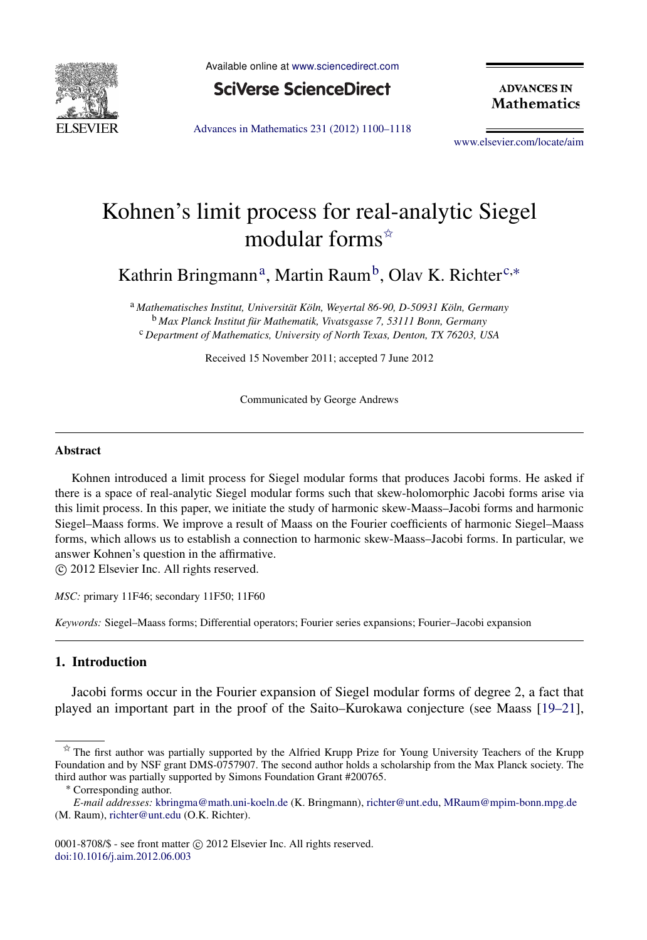

Available online at [www.sciencedirect.com](http://www.elsevier.com/locate/aim)

**SciVerse ScienceDirect** 

**ADVANCES IN Mathematics** 

[Advances in Mathematics 231 \(2012\) 1100–1118](http://dx.doi.org/10.1016/j.aim.2012.06.003)

[www.elsevier.com/locate/aim](http://www.elsevier.com/locate/aim)

# Kohnen's limit process for real-analytic Siegel modular forms $\hat{z}$

K[a](#page-0-1)thrin Bringmann<sup>a</sup>, Martin Raum<sup>[b](#page-0-2)</sup>, Olav K. Richter<sup>[c,](#page-0-3)\*</sup>

<span id="page-0-3"></span><span id="page-0-2"></span><span id="page-0-1"></span><sup>a</sup> Mathematisches Institut, Universität Köln, Weyertal 86-90, D-50931 Köln, Germany <sup>b</sup> *Max Planck Institut fur Mathematik, Vivatsgasse 7, 53111 Bonn, Germany ¨* <sup>c</sup> *Department of Mathematics, University of North Texas, Denton, TX 76203, USA*

Received 15 November 2011; accepted 7 June 2012

Communicated by George Andrews

#### Abstract

Kohnen introduced a limit process for Siegel modular forms that produces Jacobi forms. He asked if there is a space of real-analytic Siegel modular forms such that skew-holomorphic Jacobi forms arise via this limit process. In this paper, we initiate the study of harmonic skew-Maass–Jacobi forms and harmonic Siegel–Maass forms. We improve a result of Maass on the Fourier coefficients of harmonic Siegel–Maass forms, which allows us to establish a connection to harmonic skew-Maass–Jacobi forms. In particular, we answer Kohnen's question in the affirmative.

⃝c 2012 Elsevier Inc. All rights reserved.

*MSC:* primary 11F46; secondary 11F50; 11F60

*Keywords:* Siegel–Maass forms; Differential operators; Fourier series expansions; Fourier–Jacobi expansion

# 1. Introduction

Jacobi forms occur in the Fourier expansion of Siegel modular forms of degree 2, a fact that played an important part in the proof of the Saito–Kurokawa conjecture (see Maass [\[19–21\]](#page-18-0),

<span id="page-0-0"></span> $\hat{x}$  The first author was partially supported by the Alfried Krupp Prize for Young University Teachers of the Krupp Foundation and by NSF grant DMS-0757907. The second author holds a scholarship from the Max Planck society. The third author was partially supported by Simons Foundation Grant #200765.

<span id="page-0-4"></span><sup>∗</sup> Corresponding author.

*E-mail addresses:* [kbringma@math.uni-koeln.de](mailto:kbringma@math.uni-koeln.de) (K. Bringmann), [richter@unt.edu,](mailto:richter@unt.edu) [MRaum@mpim-bonn.mpg.de](mailto:MRaum@mpim-bonn.mpg.de) (M. Raum), [richter@unt.edu](mailto:richter@unt.edu) (O.K. Richter).

<sup>0001-8708/\$ -</sup> see front matter © 2012 Elsevier Inc. All rights reserved. [doi:10.1016/j.aim.2012.06.003](http://dx.doi.org/10.1016/j.aim.2012.06.003)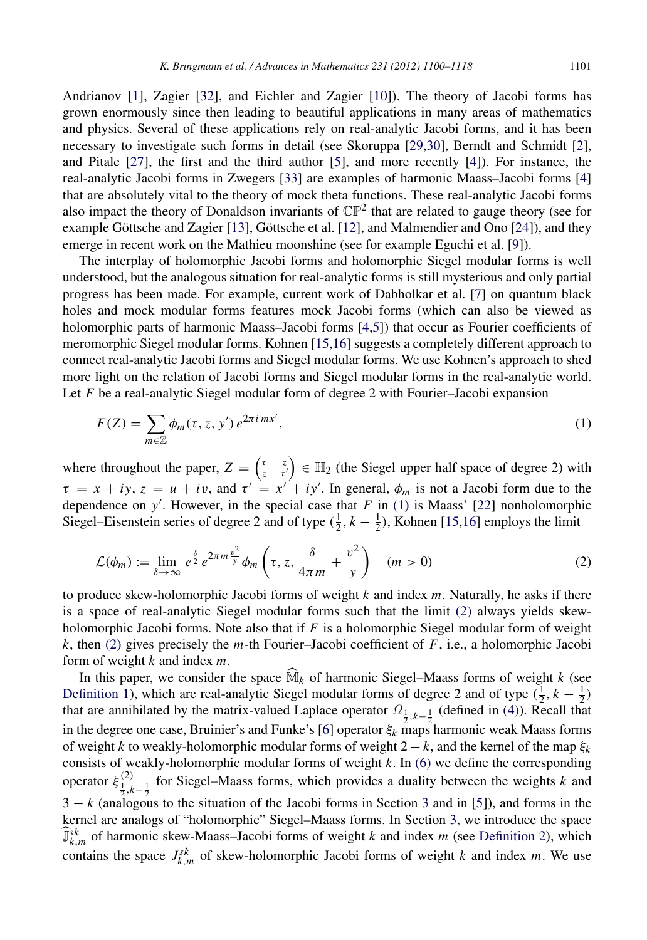Andrianov [\[1\]](#page-17-0), Zagier [\[32\]](#page-18-1), and Eichler and Zagier [\[10\]](#page-17-1)). The theory of Jacobi forms has grown enormously since then leading to beautiful applications in many areas of mathematics and physics. Several of these applications rely on real-analytic Jacobi forms, and it has been necessary to investigate such forms in detail (see Skoruppa [\[29,](#page-18-2)[30\]](#page-18-3), Berndt and Schmidt [\[2\]](#page-17-2), and Pitale [\[27\]](#page-18-4), the first and the third author [\[5\]](#page-17-3), and more recently [\[4\]](#page-17-4)). For instance, the real-analytic Jacobi forms in Zwegers [\[33\]](#page-18-5) are examples of harmonic Maass–Jacobi forms [\[4\]](#page-17-4) that are absolutely vital to the theory of mock theta functions. These real-analytic Jacobi forms also impact the theory of Donaldson invariants of  $\mathbb{CP}^2$  that are related to gauge theory (see for example Göttsche and Zagier [[13\]](#page-18-6), Göttsche et al. [[12\]](#page-18-7), and Malmendier and Ono [\[24\]](#page-18-8)), and they emerge in recent work on the Mathieu moonshine (see for example Eguchi et al. [\[9\]](#page-17-5)).

The interplay of holomorphic Jacobi forms and holomorphic Siegel modular forms is well understood, but the analogous situation for real-analytic forms is still mysterious and only partial progress has been made. For example, current work of Dabholkar et al. [\[7\]](#page-17-6) on quantum black holes and mock modular forms features mock Jacobi forms (which can also be viewed as holomorphic parts of harmonic Maass–Jacobi forms [\[4,](#page-17-4)[5\]](#page-17-3)) that occur as Fourier coefficients of meromorphic Siegel modular forms. Kohnen [\[15,](#page-18-9)[16\]](#page-18-10) suggests a completely different approach to connect real-analytic Jacobi forms and Siegel modular forms. We use Kohnen's approach to shed more light on the relation of Jacobi forms and Siegel modular forms in the real-analytic world. Let *F* be a real-analytic Siegel modular form of degree 2 with Fourier–Jacobi expansion

<span id="page-1-0"></span>
$$
F(Z) = \sum_{m \in \mathbb{Z}} \phi_m(\tau, z, y') e^{2\pi i m x'},
$$
\n<sup>(1)</sup>

where throughout the paper,  $Z = \begin{pmatrix} 7 & 2 \\ 7 & 7 \end{pmatrix}$  $\begin{pmatrix} \tau & z \\ z & \tau' \end{pmatrix} \in \mathbb{H}_2$  (the Siegel upper half space of degree 2) with  $\tau = x + iy$ ,  $z = u + iv$ , and  $\tau' = x' + iy'$ . In general,  $\phi_m$  is not a Jacobi form due to the dependence on  $y'$ . However, in the special case that  $F$  in [\(1\)](#page-1-0) is Maass' [\[22\]](#page-18-11) nonholomorphic Siegel–Eisenstein series of degree 2 and of type  $(\frac{1}{2}, k - \frac{1}{2})$ , Kohnen [\[15,](#page-18-9)[16\]](#page-18-10) employs the limit

<span id="page-1-1"></span>
$$
\mathcal{L}(\phi_m) := \lim_{\delta \to \infty} e^{\frac{\delta}{2}} e^{2\pi m \frac{v^2}{y}} \phi_m \left(\tau, z, \frac{\delta}{4\pi m} + \frac{v^2}{y}\right) \quad (m > 0) \tag{2}
$$

to produce skew-holomorphic Jacobi forms of weight *k* and index *m*. Naturally, he asks if there is a space of real-analytic Siegel modular forms such that the limit [\(2\)](#page-1-1) always yields skewholomorphic Jacobi forms. Note also that if  $F$  is a holomorphic Siegel modular form of weight *k*, then [\(2\)](#page-1-1) gives precisely the *m*-th Fourier–Jacobi coefficient of *F*, i.e., a holomorphic Jacobi form of weight *k* and index *m*.

In this paper, we consider the space  $\widehat{M}_k$  of harmonic Siegel–Maass forms of weight *k* (see [Definition 1\)](#page-4-0), which are real-analytic Siegel modular forms of degree 2 and of type  $(\frac{1}{2}, k - \frac{1}{2})$ that are annihilated by the matrix-valued Laplace operator  $\Omega_{\frac{1}{2},k-\frac{1}{2}}$  (defined in [\(4\)\)](#page-3-0). Recall that in the degree one case, Bruinier's and Funke's [\[6\]](#page-17-7) operator  $\xi_k$  maps harmonic weak Maass forms of weight *k* to weakly-holomorphic modular forms of weight 2 − *k*, and the kernel of the map ξ*<sup>k</sup>* consists of weakly-holomorphic modular forms of weight *k*. In [\(6\)](#page-3-1) we define the corresponding operator  $\xi_{\frac{1}{2},k-\frac{1}{2}}^{(2)}$  for Siegel–Maass forms, which provides a duality between the weights *k* and  $3 - k$  $3 - k$  (analogous to the situation of the Jacobi forms in Section 3 and in [\[5\]](#page-17-3)), and forms in the kernel are analogs of "holomorphic" Siegel–Maass forms. In Section [3,](#page-13-0) we introduce the space  $\widehat{J}_{k,m}^{sk}$  of harmonic skew-Maass–Jacobi forms of weight *k* and index *m* (see [Definition 2\)](#page-14-0), which contains the space  $J_{k,m}^{sk}$  of skew-holomorphic Jacobi forms of weight *k* and index *m*. We use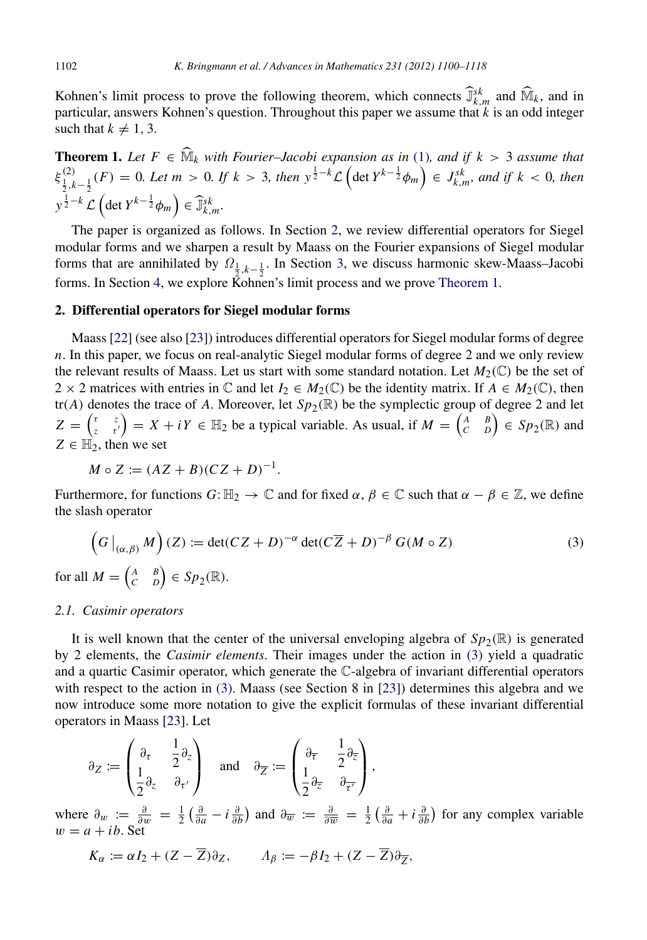Kohnen's limit process to prove the following theorem, which connects  $\widehat{\mathbb{J}}_{k,m}^{s,k}$  and  $\widehat{\mathbb{M}}_k$ , and in particular, answers Kohnen's question. Throughout this paper we assume that *k* is an odd integer such that  $k \neq 1, 3$ .

<span id="page-2-1"></span>**Theorem 1.** Let  $F \in \widehat{\mathbb{M}}_k$  with Fourier–Jacobi expansion as in [\(1\)](#page-1-0), and if  $k > 3$  assume that  $\xi_{\frac{1}{2},k-\frac{1}{2}}^{(2)}(F) = 0$ . Let  $m > 0$ . If  $k > 3$ , then  $y^{\frac{1}{2}-k} \mathcal{L} \left( \det Y^{k-\frac{1}{2}} \phi_m \right) \in J_{k,m}^{sk}$ , and if  $k < 0$ , then  $y^{\frac{1}{2} - k} \mathcal{L} \left( \det Y^{k - \frac{1}{2}} \phi_m \right) \in \widehat{\mathbb{J}}_{k,m}^{sk}$ .

The paper is organized as follows. In Section [2,](#page-2-0) we review differential operators for Siegel modular forms and we sharpen a result by Maass on the Fourier expansions of Siegel modular forms that are annihilated by  $\Omega_{\frac{1}{2},k-\frac{1}{2}}$ . In Section [3,](#page-13-0) we discuss harmonic skew-Maass–Jacobi forms. In Section [4,](#page-15-0) we explore Kohnen's limit process and we prove [Theorem 1.](#page-2-1)

#### <span id="page-2-0"></span>2. Differential operators for Siegel modular forms

Maass [\[22\]](#page-18-11) (see also [\[23\]](#page-18-12)) introduces differential operators for Siegel modular forms of degree *n*. In this paper, we focus on real-analytic Siegel modular forms of degree 2 and we only review the relevant results of Maass. Let us start with some standard notation. Let  $M_2(\mathbb{C})$  be the set of 2 × 2 matrices with entries in  $\mathbb C$  and let  $I_2 \in M_2(\mathbb C)$  be the identity matrix. If  $A \in M_2(\mathbb C)$ , then tr(*A*) denotes the trace of *A*. Moreover, let  $Sp_2(\mathbb{R})$  be the symplectic group of degree 2 and let  $Z = \begin{pmatrix} z & z \\ z & z \end{pmatrix}$  $\begin{pmatrix} \tau & z \\ z & \tau' \end{pmatrix} = X + iY \in \mathbb{H}_2$  be a typical variable. As usual, if  $M = \begin{pmatrix} A & B \\ C & D \end{pmatrix} \in Sp_2(\mathbb{R})$  and  $Z \in \mathbb{H}_2$ , then we set

<span id="page-2-2"></span>
$$
M \circ Z := (AZ + B)(CZ + D)^{-1}.
$$

Furthermore, for functions  $G: \mathbb{H}_2 \to \mathbb{C}$  and for fixed  $\alpha, \beta \in \mathbb{C}$  such that  $\alpha - \beta \in \mathbb{Z}$ , we define the slash operator

$$
\left(G\big|_{(\alpha,\beta)}M\right)(Z) := \det(CZ+D)^{-\alpha} \det(C\overline{Z}+D)^{-\beta} G(M\circ Z)
$$
\nfor all  $M = \begin{pmatrix} A & B \\ C & D \end{pmatrix} \in Sp_2(\mathbb{R}).$ 

\n(3)

#### *2.1. Casimir operators*

It is well known that the center of the universal enveloping algebra of  $Sp_2(\mathbb{R})$  is generated by 2 elements, the *Casimir elements*. Their images under the action in [\(3\)](#page-2-2) yield a quadratic and a quartic Casimir operator, which generate the C-algebra of invariant differential operators with respect to the action in [\(3\).](#page-2-2) Maass (see Section 8 in [\[23\]](#page-18-12)) determines this algebra and we now introduce some more notation to give the explicit formulas of these invariant differential operators in Maass [\[23\]](#page-18-12). Let

$$
\partial_Z \coloneqq \begin{pmatrix} \partial_\tau & \frac{1}{2}\partial_z \\ \frac{1}{2}\partial_z & \partial_{\tau'} \end{pmatrix} \quad \text{and} \quad \partial_{\overline{Z}} \coloneqq \begin{pmatrix} \partial_{\overline{\tau}} & \frac{1}{2}\partial_{\overline{z}} \\ \frac{1}{2}\partial_{\overline{z}} & \partial_{\overline{\tau'}} \end{pmatrix},
$$

where  $\partial_w := \frac{\partial}{\partial w} = \frac{1}{2} \left( \frac{\partial}{\partial a} - i \frac{\partial}{\partial b} \right)$  and  $\partial_{\overline{w}} := \frac{\partial}{\partial \overline{w}} = \frac{1}{2} \left( \frac{\partial}{\partial a} + i \frac{\partial}{\partial b} \right)$  for any complex variable  $w = a + ib$ . Set

$$
K_{\alpha} := \alpha I_2 + (Z - \overline{Z})\partial_Z, \qquad \Lambda_{\beta} := -\beta I_2 + (Z - \overline{Z})\partial_{\overline{Z}},
$$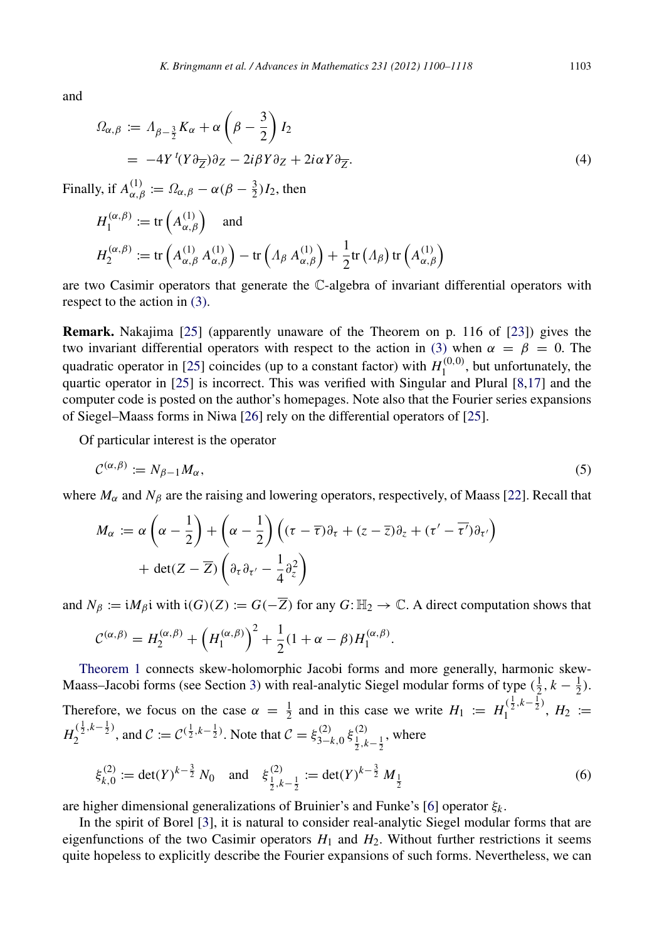and

$$
\Omega_{\alpha,\beta} := \Lambda_{\beta - \frac{3}{2}} K_{\alpha} + \alpha \left( \beta - \frac{3}{2} \right) I_2
$$
  
= 
$$
-4Y^{\dagger} (Y \partial_{\overline{Z}}) \partial_Z - 2i \beta Y \partial_Z + 2i \alpha Y \partial_{\overline{Z}}.
$$
 (4)

Finally, if  $A_{\alpha,\beta}^{(1)} := \Omega_{\alpha,\beta} - \alpha(\beta - \frac{3}{2})I_2$ , then

$$
H_1^{(\alpha,\beta)} := \text{tr}\left(A_{\alpha,\beta}^{(1)}\right) \quad \text{and}
$$
\n
$$
H_2^{(\alpha,\beta)} := \text{tr}\left(A_{\alpha,\beta}^{(1)} A_{\alpha,\beta}^{(1)}\right) - \text{tr}\left(A_{\beta} A_{\alpha,\beta}^{(1)}\right) + \frac{1}{2} \text{tr}\left(A_{\beta}\right) \text{tr}\left(A_{\alpha,\beta}^{(1)}\right)
$$

are two Casimir operators that generate the C-algebra of invariant differential operators with respect to the action in [\(3\).](#page-2-2)

Remark. Nakajima [\[25\]](#page-18-13) (apparently unaware of the Theorem on p. 116 of [\[23\]](#page-18-12)) gives the two invariant differential operators with respect to the action in [\(3\)](#page-2-2) when  $\alpha = \beta = 0$ . The quadratic operator in [\[25\]](#page-18-13) coincides (up to a constant factor) with  $H_1^{(0,0)}$  $\int_1^{(0,0)}$ , but unfortunately, the quartic operator in  $[25]$  is incorrect. This was verified with Singular and Plural  $[8,17]$  $[8,17]$  and the computer code is posted on the author's homepages. Note also that the Fourier series expansions of Siegel–Maass forms in Niwa [\[26\]](#page-18-15) rely on the differential operators of [\[25\]](#page-18-13).

Of particular interest is the operator

$$
\mathcal{C}^{(\alpha,\beta)} := N_{\beta-1} M_{\alpha},\tag{5}
$$

where  $M_{\alpha}$  and  $N_{\beta}$  are the raising and lowering operators, respectively, of Maass [\[22\]](#page-18-11). Recall that

$$
M_{\alpha} := \alpha \left( \alpha - \frac{1}{2} \right) + \left( \alpha - \frac{1}{2} \right) \left( (\tau - \overline{\tau}) \partial_{\tau} + (z - \overline{z}) \partial_{z} + (\tau' - \overline{\tau'}) \partial_{\tau'} \right) + \det(Z - \overline{Z}) \left( \partial_{\tau} \partial_{\tau'} - \frac{1}{4} \partial_{z}^{2} \right)
$$

and  $N_\beta := iM_\beta i$  with  $i(G)(Z) := G(-\overline{Z})$  for any  $G: \mathbb{H}_2 \to \mathbb{C}$ . A direct computation shows that

$$
C^{(\alpha,\beta)} = H_2^{(\alpha,\beta)} + (H_1^{(\alpha,\beta)})^2 + \frac{1}{2}(1+\alpha-\beta)H_1^{(\alpha,\beta)}.
$$

[Theorem 1](#page-2-1) connects skew-holomorphic Jacobi forms and more generally, harmonic skew-Maass–Jacobi forms (see Section [3\)](#page-13-0) with real-analytic Siegel modular forms of type  $(\frac{1}{2}, k - \frac{1}{2})$ . Therefore, we focus on the case  $\alpha = \frac{1}{2}$  and in this case we write  $H_1 := H_1^{(\frac{1}{2}, k - \frac{1}{2})}$  $\frac{1}{1}^{(\frac{1}{2},\kappa-\frac{1}{2})}, H_2 :=$  $H_2^{(\frac{1}{2},k-\frac{1}{2})}$  $2^{(\frac{1}{2},k-\frac{1}{2})}$ , and  $C := C^{(\frac{1}{2},k-\frac{1}{2})}$ . Note that  $C = \xi_{3-k,0}^{(2)} \xi_{\frac{1}{2},k-\frac{1}{2}}^{(2)}$ , where

<span id="page-3-1"></span>
$$
\xi_{k,0}^{(2)} := \det(Y)^{k-\frac{3}{2}} N_0 \quad \text{and} \quad \xi_{\frac{1}{2},k-\frac{1}{2}}^{(2)} := \det(Y)^{k-\frac{3}{2}} M_{\frac{1}{2}} \tag{6}
$$

are higher dimensional generalizations of Bruinier's and Funke's [\[6\]](#page-17-7) operator ξ*k* .

In the spirit of Borel [\[3\]](#page-17-9), it is natural to consider real-analytic Siegel modular forms that are eigenfunctions of the two Casimir operators  $H_1$  and  $H_2$ . Without further restrictions it seems quite hopeless to explicitly describe the Fourier expansions of such forms. Nevertheless, we can

<span id="page-3-0"></span>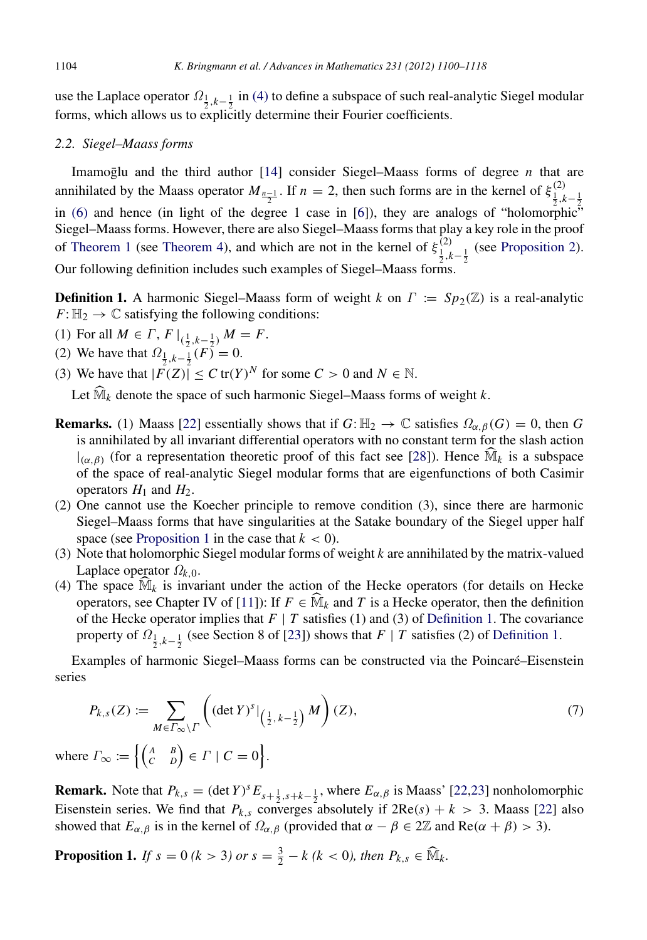use the Laplace operator  $\Omega_{\frac{1}{2},k-\frac{1}{2}}$  in [\(4\)](#page-3-0) to define a subspace of such real-analytic Siegel modular forms, which allows us to explicitly determine their Fourier coefficients.

#### *2.2. Siegel–Maass forms*

Imamoglu and the third author  $[14]$  $[14]$  consider Siegel–Maass forms of degree *n* that are annihilated by the Maass operator  $M_{\frac{n-1}{2}}$ . If  $n = 2$ , then such forms are in the kernel of  $\xi_{\frac{1}{2},k-\frac{1}{2}}^{(2)}$ in [\(6\)](#page-3-1) and hence (in light of the degree 1 case in [\[6\]](#page-17-7)), they are analogs of "holomorphic" Siegel–Maass forms. However, there are also Siegel–Maass forms that play a key role in the proof of [Theorem 1](#page-2-1) (see [Theorem 4\)](#page-15-1), and which are not in the kernel of  $\xi_{\frac{1}{2},k-\frac{1}{2}}^{(2)}$  (see [Proposition 2\)](#page-5-0). Our following definition includes such examples of Siegel–Maass forms.

<span id="page-4-0"></span>**Definition 1.** A harmonic Siegel–Maass form of weight *k* on  $\Gamma := Sp_2(\mathbb{Z})$  is a real-analytic  $F: \mathbb{H}_2 \to \mathbb{C}$  satisfying the following conditions:

- (1) For all  $M \in \Gamma$ ,  $F|_{(\frac{1}{2}, k-\frac{1}{2})} M = F$ .
- (2) We have that  $\Omega_{\frac{1}{2},k-\frac{1}{2}}(F) = 0$ .
- (3) We have that  $|\overline{F}(Z)| \leq C \operatorname{tr}(Y)^N$  for some  $C > 0$  and  $N \in \mathbb{N}$ .

Let  $\widehat{M}_k$  denote the space of such harmonic Siegel–Maass forms of weight *k*.

- **Remarks.** (1) Maass [\[22\]](#page-18-11) essentially shows that if  $G: \mathbb{H}_2 \to \mathbb{C}$  satisfies  $\Omega_{\alpha,\beta}(G) = 0$ , then *G* is annihilated by all invariant differential operators with no constant term for the slash action  $|_{(\alpha,\beta)}$  (for a representation theoretic proof of this fact see [\[28\]](#page-18-17)). Hence  $\widehat{M}_k$  is a subspace of the space of real-analytic Siegel modular forms that are eigenfunctions of both Casimir operators  $H_1$  and  $H_2$ .
- (2) One cannot use the Koecher principle to remove condition (3), since there are harmonic Siegel–Maass forms that have singularities at the Satake boundary of the Siegel upper half space (see [Proposition 1](#page-4-1) in the case that  $k < 0$ ).
- (3) Note that holomorphic Siegel modular forms of weight *k* are annihilated by the matrix-valued Laplace operator  $\Omega_{k,0}$ .
- (4) The space  $\widehat{\mathbb{M}}_k$  is invariant under the action of the Hecke operators (for details on Hecke operators, see Chapter IV of [\[11\]](#page-18-18)): If  $F \in \widehat{M}_k$  and *T* is a Hecke operator, then the definition of the Hecke operator implies that *F* | *T* satisfies (1) and (3) of [Definition 1.](#page-4-0) The covariance property of  $\Omega_{\frac{1}{2},k-\frac{1}{2}}$  (see Section 8 of [\[23\]](#page-18-12)) shows that *F* | *T* satisfies (2) of [Definition 1.](#page-4-0)

Examples of harmonic Siegel–Maass forms can be constructed via the Poincare–Eisenstein ´ series

<span id="page-4-2"></span>
$$
P_{k,s}(Z) := \sum_{M \in \Gamma_{\infty} \backslash \Gamma} \left( \left( \det Y \right)^s \middle|_{\left( \frac{1}{2}, \, k - \frac{1}{2} \right)} M \right) (Z), \tag{7}
$$

where  $\Gamma_{\infty} := \left\{ \begin{pmatrix} A & B \\ C & D \end{pmatrix} \in \Gamma \mid C = 0 \right\}.$ 

**Remark.** Note that  $P_{k,s} = (\det Y)^s E_{s+\frac{1}{2}, s+k-\frac{1}{2}}$ , where  $E_{\alpha,\beta}$  is Maass' [\[22](#page-18-11)[,23\]](#page-18-12) nonholomorphic Eisenstein series. We find that  $P_{k,s}$  converges absolutely if  $2Re(s) + k > 3$ . Maass [\[22\]](#page-18-11) also showed that  $E_{\alpha,\beta}$  is in the kernel of  $\Omega_{\alpha,\beta}$  (provided that  $\alpha - \beta \in 2\mathbb{Z}$  and  $\text{Re}(\alpha + \beta) > 3$ ).

<span id="page-4-1"></span>**Proposition 1.** *If*  $s = 0$  ( $k > 3$ ) or  $s = \frac{3}{2} - k$  ( $k < 0$ ), then  $P_{k,s} \in \widehat{\mathbb{M}}_k$ .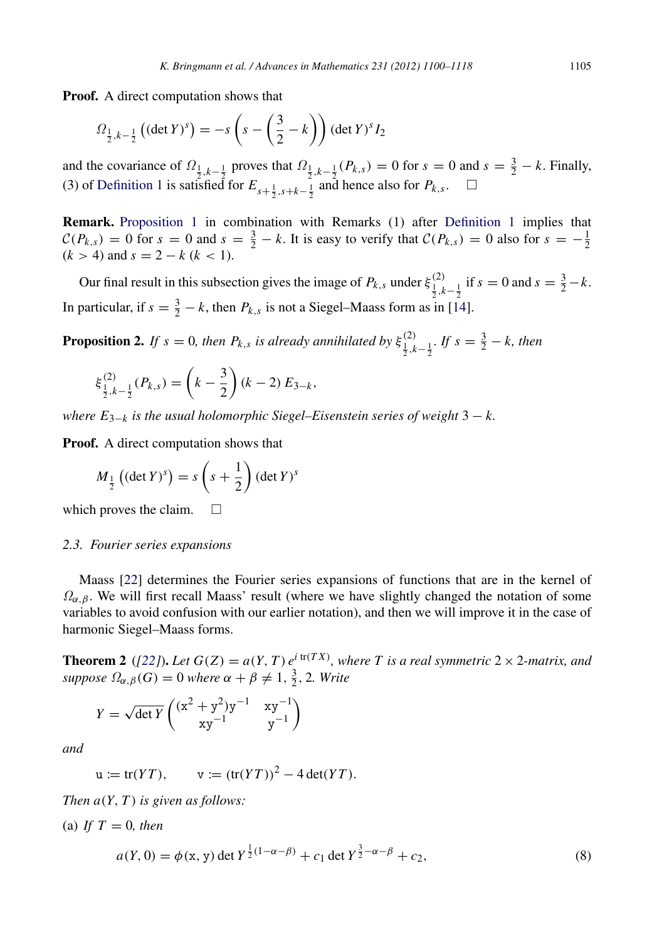Proof. A direct computation shows that

$$
\Omega_{\frac{1}{2},k-\frac{1}{2}}\left((\det Y)^s\right) = -s\left(s - \left(\frac{3}{2} - k\right)\right)(\det Y)^s I_2
$$

and the covariance of  $\Omega_{\frac{1}{2},k-\frac{1}{2}}$  proves that  $\Omega_{\frac{1}{2},k-\frac{1}{2}}(P_{k,s})=0$  for  $s=0$  and  $s=\frac{3}{2}-k$ . Finally, (3) of [Definition 1](#page-4-0) is satisfied for  $E_{s+\frac{1}{2},s+k-\frac{1}{2}}$  and hence also for  $P_{k,s}$ . □

Remark. [Proposition 1](#page-4-1) in combination with Remarks (1) after [Definition 1](#page-4-0) implies that  $\mathcal{C}(P_{k,s}) = 0$  for  $s = 0$  and  $s = \frac{3}{2} - k$ . It is easy to verify that  $\mathcal{C}(P_{k,s}) = 0$  also for  $s = -\frac{1}{2}$  $(k > 4)$  and  $s = 2 - k (k < 1)$ .

Our final result in this subsection gives the image of  $P_{k,s}$  under  $\xi_{\frac{1}{2},k-\frac{1}{2}}^{(2)}$  if  $s = 0$  and  $s = \frac{3}{2} - k$ . In particular, if  $s = \frac{3}{2} - k$ , then  $P_{k,s}$  is not a Siegel–Maass form as in [\[14\]](#page-18-16).

**Proposition 2.** If  $s = 0$ , then  $P_{k,s}$  is already annihilated by  $\xi_{\frac{1}{2},k-\frac{1}{2}}^{(2)}$ . If  $s = \frac{3}{2} - k$ , then

<span id="page-5-0"></span>
$$
\xi_{\frac{1}{2},k-\frac{1}{2}}^{(2)}(P_{k,s}) = \left(k-\frac{3}{2}\right)(k-2) E_{3-k},
$$

*where*  $E_{3-k}$  *is the usual holomorphic Siegel–Eisenstein series of weight*  $3 - k$ .

Proof. A direct computation shows that

$$
M_{\frac{1}{2}}\left((\det Y)^s\right) = s\left(s + \frac{1}{2}\right)(\det Y)^s
$$

which proves the claim.  $\Box$ 

#### *2.3. Fourier series expansions*

Maass [\[22\]](#page-18-11) determines the Fourier series expansions of functions that are in the kernel of  $\Omega_{\alpha,\beta}$ . We will first recall Maass' result (where we have slightly changed the notation of some variables to avoid confusion with our earlier notation), and then we will improve it in the case of harmonic Siegel–Maass forms.

**Theorem 2** ([\[22\]](#page-18-11)). Let  $G(Z) = a(Y, T) e^{i \text{ tr}(TX)}$ , where T is a real symmetric 2  $\times$  2-matrix, and  $suppose \Omega_{\alpha,\beta}(G) = 0$  *where*  $\alpha + \beta \neq 1, \frac{3}{2}, 2$ *. Write* 

<span id="page-5-1"></span>
$$
Y = \sqrt{\det Y} \begin{pmatrix} (x^2 + y^2)y^{-1} & xy^{-1} \\ xy^{-1} & y^{-1} \end{pmatrix}
$$

*and*

 $u := tr(YT), \qquad v := (tr(YT))^2 - 4 det(YT).$ 

*Then*  $a(Y, T)$  *is given as follows:* 

(a) If  $T = 0$ , then

<span id="page-5-2"></span>
$$
a(Y, 0) = \phi(x, y) \det Y^{\frac{1}{2}(1 - \alpha - \beta)} + c_1 \det Y^{\frac{3}{2} - \alpha - \beta} + c_2,
$$
\n(8)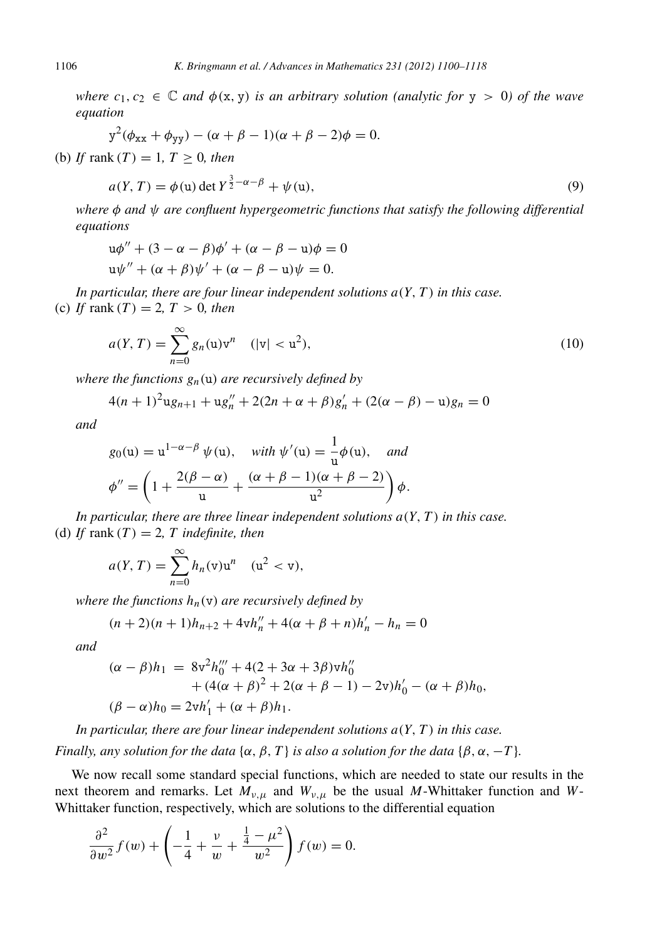*where*  $c_1, c_2 \in \mathbb{C}$  *and*  $\phi(x, y)$  *is an arbitrary solution (analytic for*  $y > 0$ ) *of the wave equation*

$$
y^2(\phi_{xx} + \phi_{yy}) - (\alpha + \beta - 1)(\alpha + \beta - 2)\phi = 0.
$$

(b) *If* rank  $(T) = 1, T > 0$ *, then* 

$$
a(Y, T) = \phi(u) \det Y^{\frac{3}{2} - \alpha - \beta} + \psi(u),
$$
\n(9)

*where* φ *and* ψ *are confluent hypergeometric functions that satisfy the following differential equations*

$$
u\phi'' + (3 - \alpha - \beta)\phi' + (\alpha - \beta - u)\phi = 0
$$
  

$$
u\psi'' + (\alpha + \beta)\psi' + (\alpha - \beta - u)\psi = 0.
$$

In particular, there are four linear independent solutions  $a(Y, T)$  in this case. (c) *If* rank  $(T) = 2, T > 0$ *, then* 

$$
a(Y, T) = \sum_{n=0}^{\infty} g_n(\mathbf{u}) \mathbf{v}^n \quad (|\mathbf{v}| < \mathbf{u}^2), \tag{10}
$$

*where the functions gn*(u) *are recursively defined by*

$$
4(n + 1)^{2}ug_{n+1} + ug_{n}'' + 2(2n + \alpha + \beta)g_{n}' + (2(\alpha - \beta) - u)g_{n} = 0
$$

*and*

$$
g_0(\mathbf{u}) = \mathbf{u}^{1-\alpha-\beta} \psi(\mathbf{u}), \quad \text{with } \psi'(\mathbf{u}) = \frac{1}{\mathbf{u}} \phi(\mathbf{u}), \quad \text{and}
$$

$$
\phi'' = \left(1 + \frac{2(\beta - \alpha)}{\mathbf{u}} + \frac{(\alpha + \beta - 1)(\alpha + \beta - 2)}{\mathbf{u}^2}\right)\phi.
$$

*In particular, there are three linear independent solutions a*(*Y*, *T* ) *in this case.* (d) If rank  $(T) = 2$ , T indefinite, then

$$
a(Y, T) = \sum_{n=0}^{\infty} h_n(v) u^n
$$
  $(u^2 < v),$ 

*where the functions hn*(v) *are recursively defined by*

$$
(n+2)(n+1)h_{n+2} + 4\nu h''_n + 4(\alpha + \beta + n)h'_n - h_n = 0
$$

*and*

$$
(\alpha - \beta)h_1 = 8v^2h_0''' + 4(2 + 3\alpha + 3\beta)vh_0''
$$
  
+ 
$$
(4(\alpha + \beta)^2 + 2(\alpha + \beta - 1) - 2v)h_0' - (\alpha + \beta)h_0,
$$
  

$$
(\beta - \alpha)h_0 = 2vh_1' + (\alpha + \beta)h_1.
$$

In particular, there are four linear independent solutions  $a(Y, T)$  in this case.

*Finally, any solution for the data* { $\alpha$ *,*  $\beta$ *, T*} *is also a solution for the data* { $\beta$ *,*  $\alpha$ *, -T*}*.* 

We now recall some standard special functions, which are needed to state our results in the next theorem and remarks. Let  $M_{\nu,\mu}$  and  $W_{\nu,\mu}$  be the usual M-Whittaker function and W-Whittaker function, respectively, which are solutions to the differential equation

$$
\frac{\partial^2}{\partial w^2} f(w) + \left( -\frac{1}{4} + \frac{v}{w} + \frac{\frac{1}{4} - \mu^2}{w^2} \right) f(w) = 0.
$$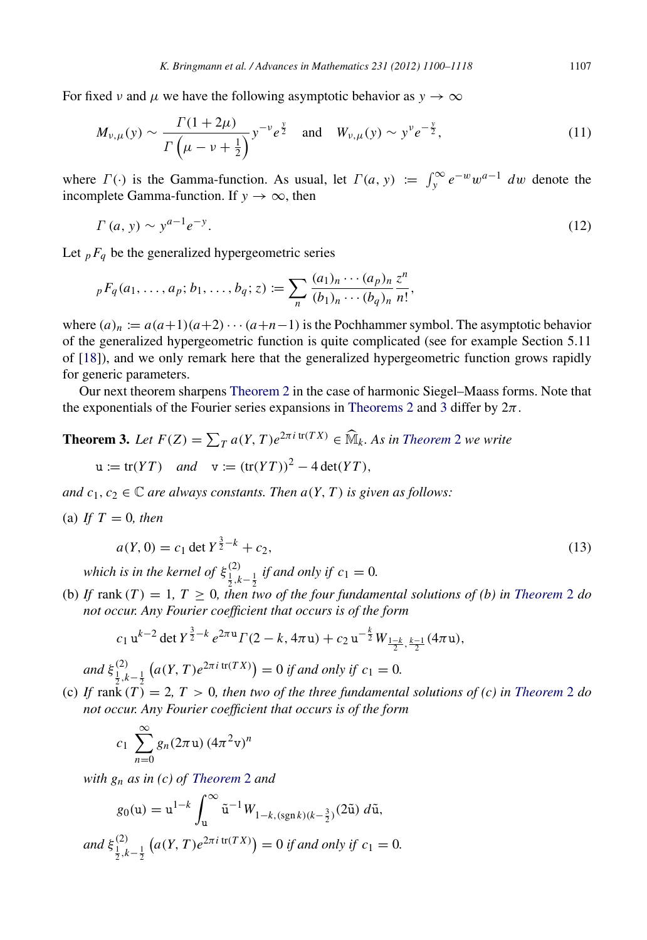For fixed *v* and  $\mu$  we have the following asymptotic behavior as  $y \to \infty$ 

<span id="page-7-3"></span>
$$
M_{\nu,\mu}(y) \sim \frac{\Gamma(1+2\mu)}{\Gamma(\mu-\nu+\frac{1}{2})} y^{-\nu} e^{\frac{y}{2}}
$$
 and  $W_{\nu,\mu}(y) \sim y^{\nu} e^{-\frac{y}{2}},$  (11)

where  $\Gamma(\cdot)$  is the Gamma-function. As usual, let  $\Gamma(a, y) := \int_{y}^{\infty} e^{-w} w^{a-1} dw$  denote the incomplete Gamma-function. If  $y \to \infty$ , then

<span id="page-7-2"></span>
$$
\Gamma\left(a,y\right) \sim y^{a-1} e^{-y}.\tag{12}
$$

Let  $pF_q$  be the generalized hypergeometric series

$$
{}_{p}F_{q}(a_{1},...,a_{p};b_{1},...,b_{q};z) := \sum_{n} \frac{(a_{1})_{n} \cdots (a_{p})_{n}}{(b_{1})_{n} \cdots (b_{q})_{n}} \frac{z^{n}}{n!},
$$

where  $(a)_n := a(a+1)(a+2)\cdots(a+n-1)$  is the Pochhammer symbol. The asymptotic behavior of the generalized hypergeometric function is quite complicated (see for example Section 5.11 of [\[18\]](#page-18-19)), and we only remark here that the generalized hypergeometric function grows rapidly for generic parameters.

Our next theorem sharpens [Theorem 2](#page-5-1) in the case of harmonic Siegel–Maass forms. Note that the exponentials of the Fourier series expansions in [Theorems 2](#page-5-1) and [3](#page-7-0) differ by  $2\pi$ .

# **[Theorem](#page-5-1) 3.** Let  $F(Z) = \sum_{T} a(Y, T) e^{2\pi i \operatorname{tr}(TX)} \in \widehat{\mathbb{M}}_k$ . As in *Theorem* 2 we write

<span id="page-7-0"></span>
$$
u := tr(YT) \quad and \quad v := (tr(YT))^2 - 4 \det(YT),
$$

*and*  $c_1, c_2 \in \mathbb{C}$  *are always constants. Then a(Y, T) is given as follows:* 

(a) If  $T = 0$ , then

<span id="page-7-1"></span>
$$
a(Y, 0) = c_1 \det Y^{\frac{3}{2} - k} + c_2,\tag{13}
$$

*which is in the kernel of*  $\xi_{\frac{1}{2},k-\frac{1}{2}}^{(2)}$  *if and only if*  $c_1 = 0$ *.* 

(b) If rank  $(T) = 1, T \ge 0$ , then two of the four fundamental solutions of (b) in [Theorem](#page-5-1) 2 do *not occur. Any Fourier coefficient that occurs is of the form*

$$
c_1 \mathbf{u}^{k-2} \det Y^{\frac{3}{2}-k} e^{2\pi \mathbf{u}} \Gamma(2-k, 4\pi \mathbf{u}) + c_2 \mathbf{u}^{-\frac{k}{2}} W_{\frac{1-k}{2}, \frac{k-1}{2}} (4\pi \mathbf{u}),
$$

and  $\xi_{\frac{1}{2},k-\frac{1}{2}}^{(2)}$  $a(Y, T)e^{2\pi i \text{ tr}(TX)} = 0$  *if and only if*  $c_1 = 0$ *.* 

(c) If  $\text{rank}(T) = 2, T > 0$ , then two of the three fundamental solutions of (c) in [Theorem](#page-5-1) 2 do *not occur. Any Fourier coefficient that occurs is of the form*

$$
c_1 \sum_{n=0}^{\infty} g_n(2\pi \mathbf{u}) (4\pi^2 \mathbf{v})^n
$$

*with g<sup>n</sup> as in (c) of [Theorem](#page-5-1)* 2 *and*

$$
g_0(\mathbf{u}) = \mathbf{u}^{1-k} \int_{\mathbf{u}}^{\infty} \tilde{\mathbf{u}}^{-1} W_{1-k,(\text{sgn}k)(k-\frac{3}{2})}(2\tilde{\mathbf{u}}) d\tilde{\mathbf{u}},
$$
  
and  $\xi_{\frac{1}{2},k-\frac{1}{2}}^{(2)} (a(Y,T)e^{2\pi i \operatorname{tr}(TX)}) = 0$  if and only if  $c_1 = 0$ .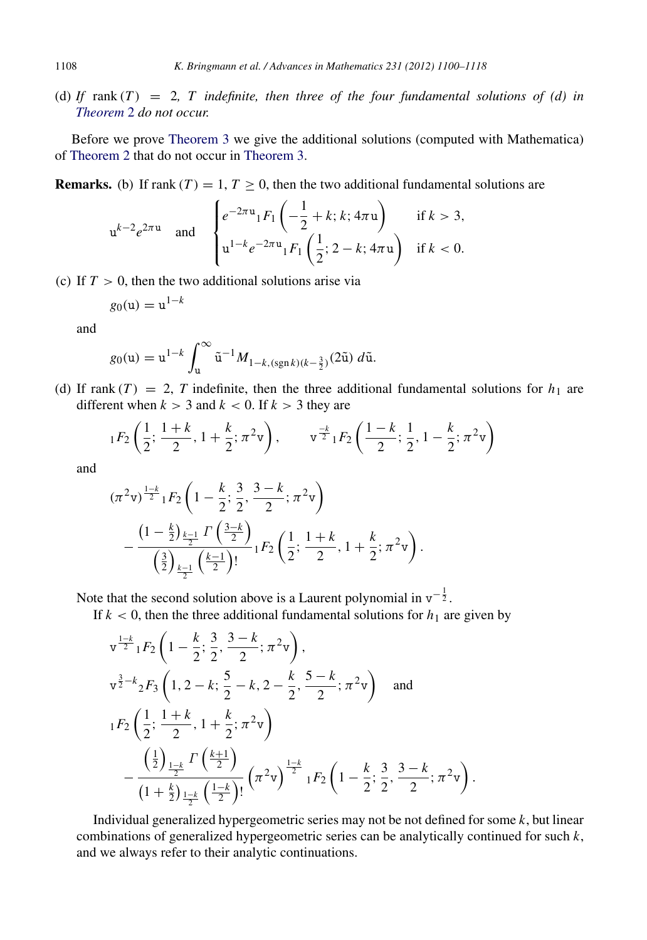(d) If  $rank(T) = 2$ , T indefinite, then three of the four fundamental solutions of (d) in *[Theorem](#page-5-1)* 2 *do not occur.*

Before we prove [Theorem 3](#page-7-0) we give the additional solutions (computed with Mathematica) of [Theorem 2](#page-5-1) that do not occur in [Theorem 3.](#page-7-0)

**Remarks.** (b) If rank  $(T) = 1, T > 0$ , then the two additional fundamental solutions are

$$
\mathbf{u}^{k-2}e^{2\pi \mathbf{u}} \quad \text{and} \quad \begin{cases} e^{-2\pi \mathbf{u}} {}_{1}F_{1}\left(-\frac{1}{2}+k; k; 4\pi \mathbf{u}\right) & \text{if } k > 3, \\ \mathbf{u}^{1-k}e^{-2\pi \mathbf{u}} {}_{1}F_{1}\left(\frac{1}{2}; 2-k; 4\pi \mathbf{u}\right) & \text{if } k < 0. \end{cases}
$$

(c) If  $T > 0$ , then the two additional solutions arise via

$$
g_0(\mathbf{u}) = \mathbf{u}^{1-k}
$$

and

$$
g_0(\mathbf{u}) = \mathbf{u}^{1-k} \int_{\mathbf{u}}^{\infty} \tilde{\mathbf{u}}^{-1} M_{1-k,(\text{sgn }k)(k-\frac{3}{2})}(2\tilde{\mathbf{u}}) \ d\tilde{\mathbf{u}}.
$$

(d) If rank  $(T) = 2$ , *T* indefinite, then the three additional fundamental solutions for  $h_1$  are different when  $k > 3$  and  $k < 0$ . If  $k > 3$  they are

$$
{}_1F_2\left(\frac{1}{2};\frac{1+k}{2},1+\frac{k}{2};\pi^2v\right), \qquad v^{\frac{-k}{2}}{}_1F_2\left(\frac{1-k}{2};\frac{1}{2},1-\frac{k}{2};\pi^2v\right)
$$

and

$$
(\pi^{2}v)^{\frac{1-k}{2}} {}_{1}F_{2}\left(1-\frac{k}{2};\frac{3}{2},\frac{3-k}{2};\pi^{2}v\right) -\frac{\left(1-\frac{k}{2}\right)\frac{k-1}{2}\Gamma\left(\frac{3-k}{2}\right)}{\left(\frac{3}{2}\right)\frac{k-1}{2}\left(\frac{k-1}{2}\right)!} {}_{1}F_{2}\left(\frac{1}{2};\frac{1+k}{2},1+\frac{k}{2};\pi^{2}v\right).
$$

Note that the second solution above is a Laurent polynomial in  $v^{-\frac{1}{2}}$ .

If  $k < 0$ , then the three additional fundamental solutions for  $h_1$  are given by

$$
\begin{split}\n&\frac{1-k}{2} {}_{1}F_{2}\left(1-\frac{k}{2};\frac{3}{2},\frac{3-k}{2};\pi^{2} \mathbf{v}\right),\\
&\frac{3}{2}-k{}_{2}F_{3}\left(1,2-k;\frac{5}{2}-k,2-\frac{k}{2},\frac{5-k}{2};\pi^{2} \mathbf{v}\right) \text{ and}\\
{}_{1}F_{2}\left(\frac{1}{2};\frac{1+k}{2},1+\frac{k}{2};\pi^{2} \mathbf{v}\right)\\
&-\frac{\left(\frac{1}{2}\right) {}_{\frac{1-k}{2}}\Gamma\left(\frac{k+1}{2}\right)}{\left(1+\frac{k}{2}\right) {}_{\frac{1-k}{2}}\left(\frac{1-k}{2}\right)!}\left(\pi^{2} \mathbf{v}\right)^{\frac{1-k}{2}} {}_{1}F_{2}\left(1-\frac{k}{2};\frac{3}{2},\frac{3-k}{2};\pi^{2} \mathbf{v}\right)\n\end{split}
$$

Individual generalized hypergeometric series may not be not defined for some *k*, but linear combinations of generalized hypergeometric series can be analytically continued for such *k*, and we always refer to their analytic continuations.

.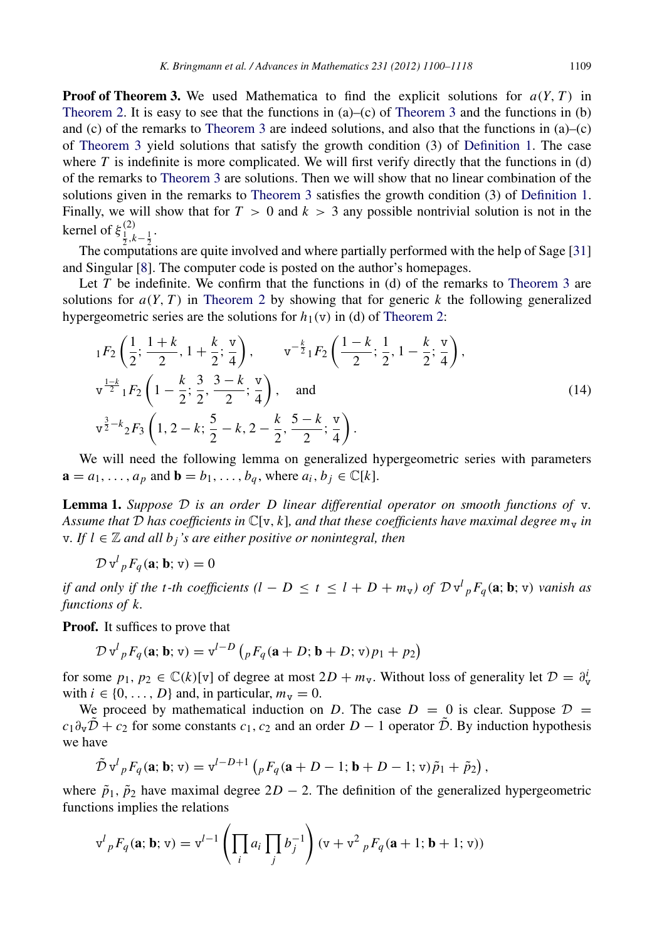**Proof of Theorem 3.** We used Mathematica to find the explicit solutions for  $a(Y, T)$  in [Theorem 2.](#page-5-1) It is easy to see that the functions in  $(a)$ – $(c)$  of [Theorem 3](#page-7-0) and the functions in  $(b)$ and (c) of the remarks to [Theorem 3](#page-7-0) are indeed solutions, and also that the functions in  $(a)$ –(c) of [Theorem 3](#page-7-0) yield solutions that satisfy the growth condition (3) of [Definition 1.](#page-4-0) The case where  $T$  is indefinite is more complicated. We will first verify directly that the functions in (d) of the remarks to [Theorem 3](#page-7-0) are solutions. Then we will show that no linear combination of the solutions given in the remarks to [Theorem 3](#page-7-0) satisfies the growth condition (3) of [Definition 1.](#page-4-0) Finally, we will show that for  $T > 0$  and  $k > 3$  any possible nontrivial solution is not in the kernel of  $\xi_{\frac{1}{2},k-\frac{1}{2}}^{(2)}$ .

The computations are quite involved and where partially performed with the help of Sage [\[31\]](#page-18-20) and Singular [\[8\]](#page-17-8). The computer code is posted on the author's homepages.

Let  $T$  be indefinite. We confirm that the functions in (d) of the remarks to [Theorem 3](#page-7-0) are solutions for  $a(Y, T)$  in [Theorem 2](#page-5-1) by showing that for generic k the following generalized hypergeometric series are the solutions for  $h_1(v)$  in (d) of [Theorem 2:](#page-5-1)

<span id="page-9-1"></span>
$$
{}_{1}F_{2}\left(\frac{1}{2};\frac{1+k}{2},1+\frac{k}{2};\frac{v}{4}\right), \qquad v^{-\frac{k}{2}} {}_{1}F_{2}\left(\frac{1-k}{2};\frac{1}{2},1-\frac{k}{2};\frac{v}{4}\right),
$$
  
\n
$$
v^{\frac{1-k}{2}} {}_{1}F_{2}\left(1-\frac{k}{2};\frac{3}{2},\frac{3-k}{2};\frac{v}{4}\right), \text{ and}
$$
  
\n
$$
v^{\frac{3}{2}-k} {}_{2}F_{3}\left(1,2-k;\frac{5}{2}-k,2-\frac{k}{2},\frac{5-k}{2};\frac{v}{4}\right).
$$
\n(14)

We will need the following lemma on generalized hypergeometric series with parameters  $\mathbf{a} = a_1, \ldots, a_p$  and  $\mathbf{b} = b_1, \ldots, b_q$ , where  $a_i, b_j \in \mathbb{C}[k]$ .

<span id="page-9-0"></span>Lemma 1. *Suppose* D *is an order D linear differential operator on smooth functions of* v*. Assume that* D has coefficients in  $\mathbb{C}[v, k]$ *, and that these coefficients have maximal degree*  $m_v$  *in v.* If  $l$  ∈  $\mathbb{Z}$  *and all b<sub>i</sub>*<sup>*'s*</sup> *are either positive or nonintegral, then* 

$$
\mathcal{D} \mathbf{v}^l{}_p F_q(\mathbf{a}; \mathbf{b}; \mathbf{v}) = 0
$$

*if and only if the t-th coefficients*  $(l - D \le t \le l + D + m_v)$  *of*  $D v^l{}_p F_q(\mathbf{a}; \mathbf{b}; v)$  *vanish as functions of k.*

Proof. It suffices to prove that

$$
\mathcal{D} \mathbf{v}^l{}_p F_q(\mathbf{a}; \mathbf{b}; \mathbf{v}) = \mathbf{v}^{l-D} \left( {}_p F_q(\mathbf{a} + D; \mathbf{b} + D; \mathbf{v}) p_1 + p_2 \right)
$$

for some  $p_1, p_2 \in \mathbb{C}(k)[v]$  of degree at most  $2D + m_v$ . Without loss of generality let  $\mathcal{D} = \partial_v^i$ with  $i \in \{0, \ldots, D\}$  and, in particular,  $m_v = 0$ .

We proceed by mathematical induction on *D*. The case  $D = 0$  is clear. Suppose  $D =$  $c_1\partial_v\tilde{D}$  +  $c_2$  for some constants  $c_1$ ,  $c_2$  and an order  $D-1$  operator  $\tilde{D}$ . By induction hypothesis we have

$$
\tilde{\mathcal{D}} \mathbf{v}^l{}_p F_q(\mathbf{a}; \mathbf{b}; \mathbf{v}) = \mathbf{v}^{l-D+1} \left( {}_p F_q(\mathbf{a} + D - 1; \mathbf{b} + D - 1; \mathbf{v}) \tilde{p}_1 + \tilde{p}_2 \right),
$$

where  $\tilde{p}_1$ ,  $\tilde{p}_2$  have maximal degree 2*D* − 2. The definition of the generalized hypergeometric functions implies the relations

$$
\mathbf{v}^{l}{}_{p}F_{q}(\mathbf{a};\mathbf{b};\mathbf{v}) = \mathbf{v}^{l-1} \left( \prod_{i} a_{i} \prod_{j} b_{j}^{-1} \right) (\mathbf{v} + \mathbf{v}^{2}{}_{p}F_{q}(\mathbf{a} + 1; \mathbf{b} + 1; \mathbf{v}))
$$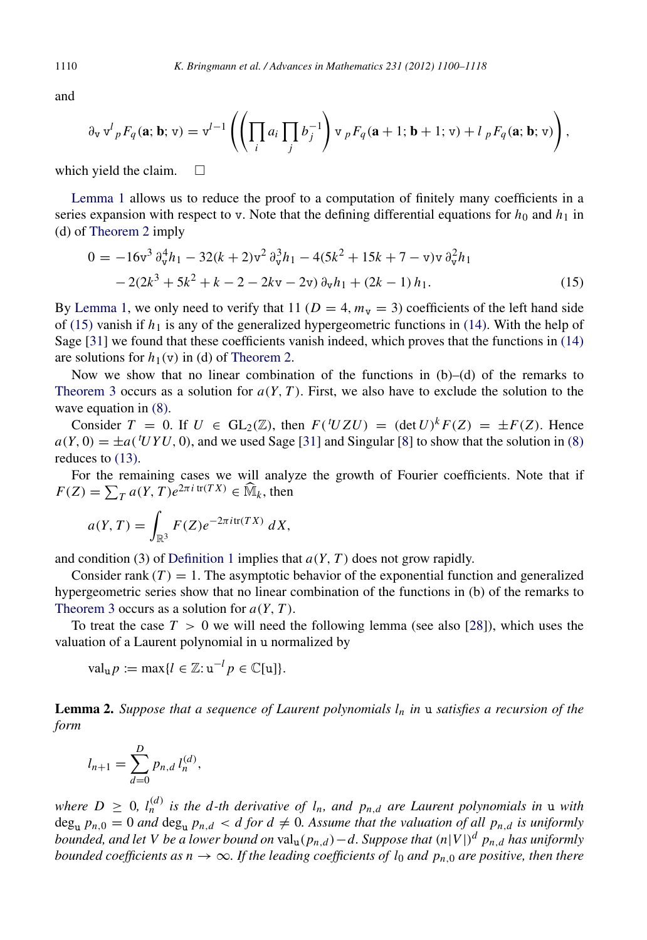and

$$
\partial_{\mathbf{v}} \mathbf{v}^l{}_p F_q(\mathbf{a}; \mathbf{b}; \mathbf{v}) = \mathbf{v}^{l-1} \left( \left( \prod_i a_i \prod_j b_j^{-1} \right) \mathbf{v}_p F_q(\mathbf{a}+1; \mathbf{b}+1; \mathbf{v}) + l_p F_q(\mathbf{a}; \mathbf{b}; \mathbf{v}) \right),
$$

which yield the claim.  $\square$ 

[Lemma 1](#page-9-0) allows us to reduce the proof to a computation of finitely many coefficients in a series expansion with respect to v. Note that the defining differential equations for  $h_0$  and  $h_1$  in (d) of [Theorem 2](#page-5-1) imply

<span id="page-10-0"></span>
$$
0 = -16v3 \partial_v^4 h_1 - 32(k+2)v^2 \partial_v^3 h_1 - 4(5k^2 + 15k + 7 - v)v \partial_v^2 h_1
$$
  
-2(2k<sup>3</sup> + 5k<sup>2</sup> + k - 2 - 2kv - 2v) \partial\_v h\_1 + (2k - 1) h\_1. (15)

By [Lemma 1,](#page-9-0) we only need to verify that  $11 (D = 4, m<sub>y</sub> = 3)$  coefficients of the left hand side of [\(15\)](#page-10-0) vanish if  $h_1$  is any of the generalized hypergeometric functions in [\(14\).](#page-9-1) With the help of Sage [\[31\]](#page-18-20) we found that these coefficients vanish indeed, which proves that the functions in [\(14\)](#page-9-1) are solutions for  $h_1(v)$  in (d) of [Theorem 2.](#page-5-1)

Now we show that no linear combination of the functions in  $(b)$ – $(d)$  of the remarks to [Theorem 3](#page-7-0) occurs as a solution for  $a(Y, T)$ . First, we also have to exclude the solution to the wave equation in [\(8\).](#page-5-2)

Consider  $T = 0$ . If  $U \in GL_2(\mathbb{Z})$ , then  $F({}^tUZU) = (\det U)^k F(Z) = \pm F(Z)$ . Hence  $a(Y, 0) = \pm a( UYU, 0)$ , and we used Sage [\[31\]](#page-18-20) and Singular [\[8\]](#page-17-8) to show that the solution in [\(8\)](#page-5-2) reduces to [\(13\).](#page-7-1)

For the remaining cases we will analyze the growth of Fourier coefficients. Note that if  $F(Z) = \sum_{T} a(Y, T) e^{2\pi i \operatorname{tr}(TX)} \in \widehat{\mathbb{M}}_k$ , then

$$
a(Y,T) = \int_{\mathbb{R}^3} F(Z)e^{-2\pi i \text{tr}(TX)} dX,
$$

and condition (3) of [Definition 1](#page-4-0) implies that  $a(Y, T)$  does not grow rapidly.

Consider rank  $(T) = 1$ . The asymptotic behavior of the exponential function and generalized hypergeometric series show that no linear combination of the functions in (b) of the remarks to [Theorem 3](#page-7-0) occurs as a solution for  $a(Y, T)$ .

To treat the case  $T > 0$  we will need the following lemma (see also [\[28\]](#page-18-17)), which uses the valuation of a Laurent polynomial in u normalized by

<span id="page-10-1"></span>
$$
\mathrm{val}_{\mathbf{u}} p := \max \{ l \in \mathbb{Z}: \mathbf{u}^{-l} p \in \mathbb{C}[\mathbf{u}] \}.
$$

Lemma 2. *Suppose that a sequence of Laurent polynomials l<sup>n</sup> in* u *satisfies a recursion of the form*

$$
l_{n+1} = \sum_{d=0}^{D} p_{n,d} l_n^{(d)},
$$

*where*  $D \geq 0$ ,  $l_n^{(d)}$  is the d-th derivative of  $l_n$ , and  $p_{n,d}$  are Laurent polynomials in  $u$  with  $\deg_{\mathbf{u}} p_{n,0} = 0$  and  $\deg_{\mathbf{u}} p_{n,d} < d$  for  $d \neq 0$ . Assume that the valuation of all  $p_{n,d}$  is uniformly *bounded, and let V be a lower bound on* valu(*pn*,*<sup>d</sup>* )−*d. Suppose that* (*n*|*V*|) *<sup>d</sup> pn*,*<sup>d</sup> has uniformly bounded coefficients as n*  $\rightarrow \infty$ *. If the leading coefficients of l<sub>0</sub> and*  $p_{n,0}$  *are positive, then there*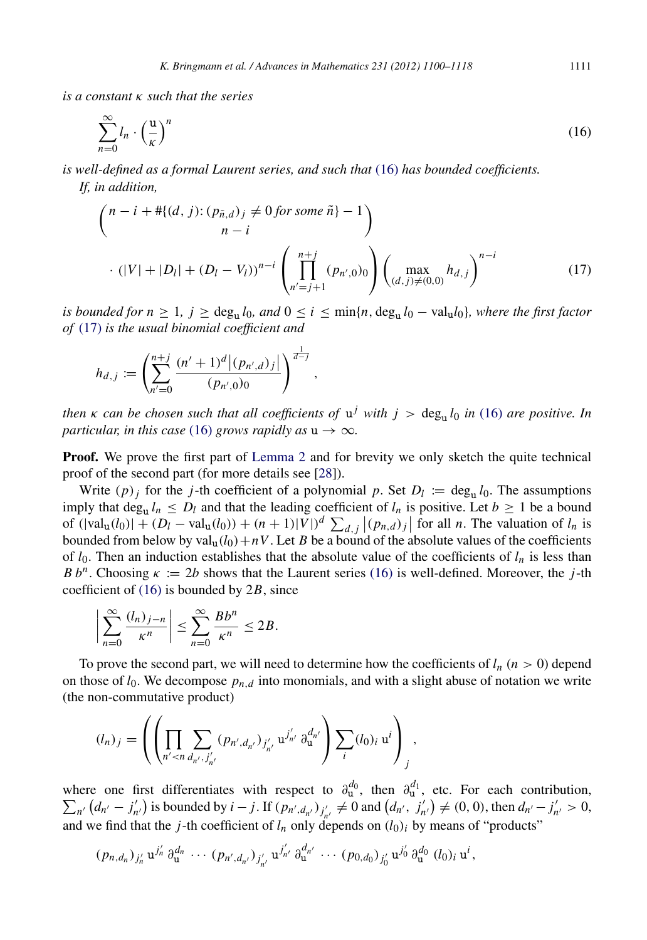*is a constant* κ *such that the series*

$$
\sum_{n=0}^{\infty} l_n \cdot \left(\frac{u}{\kappa}\right)^n \tag{16}
$$

*is well-defined as a formal Laurent series, and such that* [\(16\)](#page-11-0) *has bounded coefficients. If, in addition,*

$$
\binom{n-i+\# \{(d,j) : (p_{\tilde{n},d})_j \neq 0 \text{ for some } \tilde{n} \} - 1}{n-i}
$$
\n
$$
\cdot (|V| + |D_l| + (D_l - V_l))^{n-i} \left( \prod_{n'=j+1}^{n+j} (p_{n',0})_0 \right) \left( \max_{(d,j) \neq (0,0)} h_{d,j} \right)^{n-i} \tag{17}
$$

*is bounded for*  $n \geq 1$ *,*  $j \geq \deg_u l_0$ *, and*  $0 \leq i \leq \min\{n, \deg_u l_0 - \text{val}_u l_0\}$ *, where the first factor of* [\(17\)](#page-11-1) *is the usual binomial coefficient and*

$$
h_{d,j} := \left(\sum_{n'=0}^{n+j} \frac{(n'+1)^d | (p_{n',d})_j|}{(p_{n',0})_0}\right)^{\frac{1}{d-j}}
$$

*then*  $\kappa$  *can be chosen such that all coefficients of*  $u^j$  *with*  $j > deg_u l_0$  *in* [\(16\)](#page-11-0) *are positive. In particular, in this case* [\(16\)](#page-11-0) *grows rapidly as*  $u \rightarrow \infty$ *.* 

,

**Proof.** We prove the first part of [Lemma 2](#page-10-1) and for brevity we only sketch the quite technical proof of the second part (for more details see [\[28\]](#page-18-17)).

Write  $(p)_j$  for the *j*-th coefficient of a polynomial *p*. Set  $D_l := \deg_u l_0$ . The assumptions imply that deg<sub>u</sub>  $l_n \leq D_l$  and that the leading coefficient of  $l_n$  is positive. Let  $b \geq 1$  be a bound of  $(|\text{val}_{\text{u}}(l_0)| + (D_l - \text{val}_{\text{u}}(l_0)) + (n+1)|V| \leq \sum_{d,j} |(p_{n,d})_j|$  for all *n*. The valuation of  $l_n$  is bounded from below by  $\text{val}_{\text{u}}(l_0) + nV$ . Let *B* be a bound of the absolute values of the coefficients of  $l_0$ . Then an induction establishes that the absolute value of the coefficients of  $l_n$  is less than *B b<sup>n</sup>*. Choosing  $\kappa := 2b$  shows that the Laurent series [\(16\)](#page-11-0) is well-defined. Moreover, the *j*-th coefficient of [\(16\)](#page-11-0) is bounded by 2*B*, since

$$
\left|\sum_{n=0}^{\infty}\frac{(l_n)_{j-n}}{\kappa^n}\right|\leq \sum_{n=0}^{\infty}\frac{Bb^n}{\kappa^n}\leq 2B.
$$

To prove the second part, we will need to determine how the coefficients of  $l_n$  ( $n > 0$ ) depend on those of  $l_0$ . We decompose  $p_{n,d}$  into monomials, and with a slight abuse of notation we write (the non-commutative product)

$$
(l_n)_j = \left( \left( \prod_{n' < n} \sum_{d_{n'}, j'_{n'}} (p_{n', d_{n'}})_{j'_{n'}} \, \mathbf{u}^{j'_{n'}} \, \mathbf{\partial}^{d_{n'}}_{\mathbf{u}} \right) \sum_i (l_0)_i \, \mathbf{u}^i \right)_j,
$$

where one first differentiates with respect to  $\partial_{\bf u}^{d_0}$ , then  $\partial_{\bf u}^{d_1}$ where one first differentiates with respect to  $\partial_{u}^{u_0}$ , then  $\partial_{u}^{u_1}$ , etc. For each contribution,  $\sum_{n'} (d_{n'} - j'_{n'})$  is bounded by  $i - j$ . If  $(p_{n', d_{n'}})_{j'_{n'}} \neq 0$  and  $(d_{n'}, j'_{n'}) \neq (0, 0)$ , then  $d_{n'} - j'_{n'} > 0$ ,  $f'_{n'}$ ) is bounded by *i* − *j*. If  $(p_{n',d_{n'}})_{j'_{n'}}$  ≠ 0 and  $(d_{n'}, j'_{n'})$  $(a'_{n'}) \neq (0, 0)$ , then  $d_{n'} - j'_{n'}$  $n' > 0,$ and we find that the *j*-th coefficient of  $l_n$  only depends on  $(l_0)_i$  by means of "products"

$$
(p_{n,d_n})_{j'_n} \, \mathrm{u}^{j'_n} \, \partial_{\mathrm{u}}^{d_n} \, \cdots \, (p_{n',d_{n'}})_{j'_{n'}} \, \mathrm{u}^{j'_{n'}} \, \partial_{\mathrm{u}}^{d_{n'}} \, \cdots \, (p_{0,d_0})_{j'_0} \, \mathrm{u}^{j'_0} \, \partial_{\mathrm{u}}^{d_0} \, (l_0)_i \, \mathrm{u}^i,
$$

<span id="page-11-1"></span><span id="page-11-0"></span>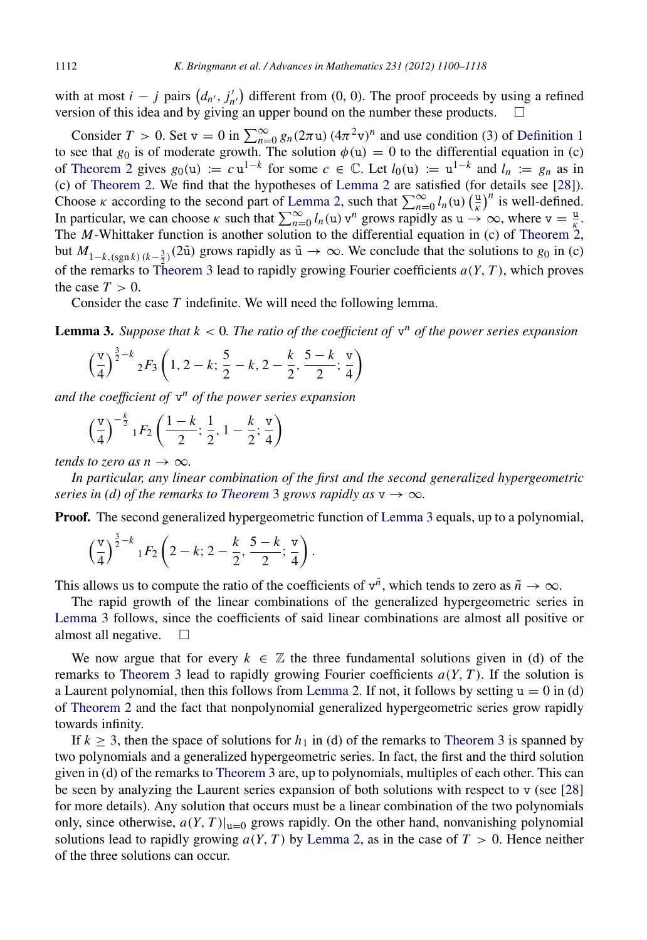with at most  $i - j$  pairs  $(d_{n'}, j'_{n'})$  $n'$ ) different from  $(0, 0)$ . The proof proceeds by using a refined version of this idea and by giving an upper bound on the number these products.

Consider  $T > 0$ . Set  $v = 0$  in  $\sum_{n=0}^{\infty} g_n (2\pi u) (4\pi^2 v)^n$  and use condition (3) of [Definition 1](#page-4-0) to see that  $g_0$  is of moderate growth. The solution  $\phi(u) = 0$  to the differential equation in (c) of [Theorem 2](#page-5-1) gives  $g_0(u) := c u^{1-k}$  for some  $c \in \mathbb{C}$ . Let  $l_0(u) := u^{1-k}$  and  $l_n := g_n$  as in (c) of [Theorem 2.](#page-5-1) We find that the hypotheses of [Lemma 2](#page-10-1) are satisfied (for details see [\[28\]](#page-18-17)). Choose  $\kappa$  according to the second part of [Lemma 2,](#page-10-1) such that  $\sum_{n=0}^{\infty} l_n(u) \left(\frac{u}{\kappa}\right)^n$  is well-defined. In particular, we can choose  $\kappa$  such that  $\sum_{n=0}^{\infty} l_n(u) v^n$  grows rapidly as  $u \to \infty$ , where  $v = \frac{u}{\kappa}$ . The *M*-Whittaker function is another solution to the differential equation in (c) of [Theorem 2,](#page-5-1) but  $M_{1-k,(\text{sgn }k)(k-\frac{3}{2})}(2\tilde{u})$  grows rapidly as  $\tilde{u} \to \infty$ . We conclude that the solutions to *g*<sub>0</sub> in (c) of the remarks to [Theorem 3](#page-7-0) lead to rapidly growing Fourier coefficients  $a(Y, T)$ , which proves the case  $T > 0$ .

Consider the case *T* indefinite. We will need the following lemma.

Lemma 3. *Suppose that k* < 0*. The ratio of the coefficient of* v *<sup>n</sup> of the power series expansion*

<span id="page-12-0"></span>
$$
\left(\frac{\mathbf{v}}{4}\right)^{\frac{3}{2}-k} {}_{2}F_{3}\left(1,2-k;\frac{5}{2}-k,2-\frac{k}{2},\frac{5-k}{2};\frac{\mathbf{v}}{4}\right)
$$

*and the coefficient of* v *<sup>n</sup> of the power series expansion*

$$
\left(\frac{\mathbf{v}}{4}\right)^{-\frac{k}{2}} {}_1F_2\left(\frac{1-k}{2};\frac{1}{2},1-\frac{k}{2};\frac{\mathbf{v}}{4}\right)
$$

*tends to zero as n*  $\rightarrow \infty$ *.* 

*In particular, any linear combination of the first and the second generalized hypergeometric series in (d) of the remarks to [Theorem](#page-7-0)* 3 *grows rapidly as*  $v \rightarrow \infty$ *.* 

**Proof.** The second generalized hypergeometric function of [Lemma 3](#page-12-0) equals, up to a polynomial,

$$
\left(\frac{\mathsf{v}}{4}\right)^{\frac{3}{2}-k} {}_1F_2\left(2-k; 2-\frac{k}{2}, \frac{5-k}{2}; \frac{\mathsf{v}}{4}\right).
$$

This allows us to compute the ratio of the coefficients of  $v^{\tilde{n}}$ , which tends to zero as  $\tilde{n} \to \infty$ .

The rapid growth of the linear combinations of the generalized hypergeometric series in [Lemma 3](#page-12-0) follows, since the coefficients of said linear combinations are almost all positive or almost all negative.  $\square$ 

We now argue that for every  $k \in \mathbb{Z}$  the three fundamental solutions given in (d) of the remarks to [Theorem 3](#page-7-0) lead to rapidly growing Fourier coefficients  $a(Y, T)$ . If the solution is a Laurent polynomial, then this follows from [Lemma 2.](#page-10-1) If not, it follows by setting  $u = 0$  in (d) of [Theorem 2](#page-5-1) and the fact that nonpolynomial generalized hypergeometric series grow rapidly towards infinity.

If  $k \geq 3$ , then the space of solutions for  $h_1$  in (d) of the remarks to [Theorem 3](#page-7-0) is spanned by two polynomials and a generalized hypergeometric series. In fact, the first and the third solution given in (d) of the remarks to [Theorem 3](#page-7-0) are, up to polynomials, multiples of each other. This can be seen by analyzing the Laurent series expansion of both solutions with respect to v (see [\[28\]](#page-18-17) for more details). Any solution that occurs must be a linear combination of the two polynomials only, since otherwise,  $a(Y, T)|_{u=0}$  grows rapidly. On the other hand, nonvanishing polynomial solutions lead to rapidly growing  $a(Y, T)$  by [Lemma 2,](#page-10-1) as in the case of  $T > 0$ . Hence neither of the three solutions can occur.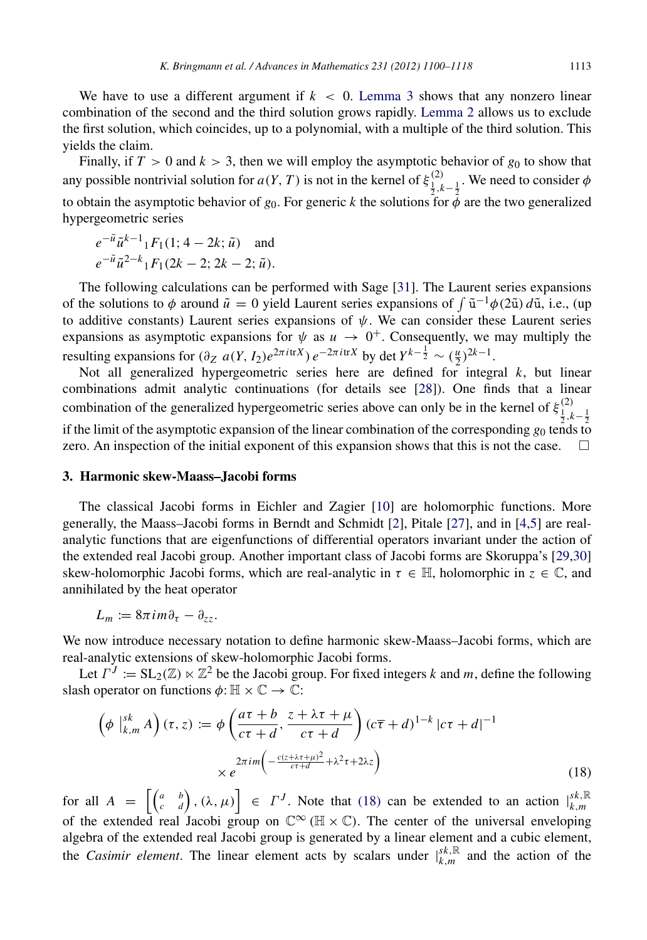We have to use a different argument if  $k < 0$ . [Lemma 3](#page-12-0) shows that any nonzero linear combination of the second and the third solution grows rapidly. [Lemma 2](#page-10-1) allows us to exclude the first solution, which coincides, up to a polynomial, with a multiple of the third solution. This yields the claim.

Finally, if  $T > 0$  and  $k > 3$ , then we will employ the asymptotic behavior of  $g_0$  to show that any possible nontrivial solution for  $a(Y, T)$  is not in the kernel of  $\xi_{\frac{1}{2},k-\frac{1}{2}}^{(2)}$ . We need to consider  $\phi$ to obtain the asymptotic behavior of  $g_0$ . For generic *k* the solutions for  $\phi^2$  are the two generalized hypergeometric series

$$
e^{-\tilde{u}}\tilde{u}^{k-1} {}_{1}F_{1}(1; 4-2k; \tilde{u}) \text{ and}
$$
  

$$
e^{-\tilde{u}}\tilde{u}^{2-k} {}_{1}F_{1}(2k-2; 2k-2; \tilde{u}).
$$

The following calculations can be performed with Sage [\[31\]](#page-18-20). The Laurent series expansions of the solutions to  $\phi$  around  $\tilde{u} = 0$  yield Laurent series expansions of  $\int \tilde{u}^{-1} \phi(2\tilde{u}) d\tilde{u}$ , i.e., (up to additive constants) Laurent series expansions of  $\psi$ . We can consider these Laurent series expansions as asymptotic expansions for  $\psi$  as  $u \to 0^+$ . Consequently, we may multiply the resulting expansions for  $(\partial_Z a(Y, I_2)e^{2\pi i t x}) e^{-2\pi i t x}$  by det  $Y^{k-\frac{1}{2}} \sim (\frac{u}{2})^{2k-1}$ .

Not all generalized hypergeometric series here are defined for integral *k*, but linear combinations admit analytic continuations (for details see [\[28\]](#page-18-17)). One finds that a linear combination of the generalized hypergeometric series above can only be in the kernel of  $\xi_{\frac{1}{2},k-\frac{1}{2}}^{(2)}$ if the limit of the asymptotic expansion of the linear combination of the corresponding  $g_0$  tends to zero. An inspection of the initial exponent of this expansion shows that this is not the case.  $\square$ 

# <span id="page-13-0"></span>3. Harmonic skew-Maass–Jacobi forms

The classical Jacobi forms in Eichler and Zagier [\[10\]](#page-17-1) are holomorphic functions. More generally, the Maass–Jacobi forms in Berndt and Schmidt [\[2\]](#page-17-2), Pitale [\[27\]](#page-18-4), and in [\[4,](#page-17-4)[5\]](#page-17-3) are realanalytic functions that are eigenfunctions of differential operators invariant under the action of the extended real Jacobi group. Another important class of Jacobi forms are Skoruppa's [\[29,](#page-18-2)[30\]](#page-18-3) skew-holomorphic Jacobi forms, which are real-analytic in  $\tau \in \mathbb{H}$ , holomorphic in  $z \in \mathbb{C}$ , and annihilated by the heat operator

$$
L_m:=8\pi im\partial_{\tau}-\partial_{zz}.
$$

We now introduce necessary notation to define harmonic skew-Maass–Jacobi forms, which are real-analytic extensions of skew-holomorphic Jacobi forms.

Let  $\Gamma^J := SL_2(\mathbb{Z}) \ltimes \mathbb{Z}^2$  be the Jacobi group. For fixed integers *k* and *m*, define the following slash operator on functions  $\phi: \mathbb{H} \times \mathbb{C} \to \mathbb{C}$ :

<span id="page-13-1"></span>
$$
\left(\phi\big|_{k,m}^{sk}A\right)(\tau,z) := \phi\left(\frac{a\tau+b}{c\tau+d}, \frac{z+\lambda\tau+\mu}{c\tau+d}\right)(c\overline{\tau}+d)^{1-k}|c\tau+d|^{-1}
$$

$$
\times e^{2\pi i m\left(-\frac{c(z+\lambda\tau+\mu)^2}{c\tau+d}+\lambda^2\tau+2\lambda z\right)}
$$
(18)

for all  $A = \begin{bmatrix} \begin{pmatrix} a & b \\ c & d \end{pmatrix}, (\lambda, \mu) \end{bmatrix} \in \Gamma^J$ . Note that [\(18\)](#page-13-1) can be extended to an action  $\begin{bmatrix} s^k, \mathbb{R} \\ k, m \end{bmatrix}$ of the extended real Jacobi group on  $\mathbb{C}^{\infty}(\mathbb{H} \times \mathbb{C})$ . The center of the universal enveloping algebra of the extended real Jacobi group is generated by a linear element and a cubic element, the *Casimir element*. The linear element acts by scalars under  $\big|_{k,m}^{s,k,\mathbb{R}}$  and the action of the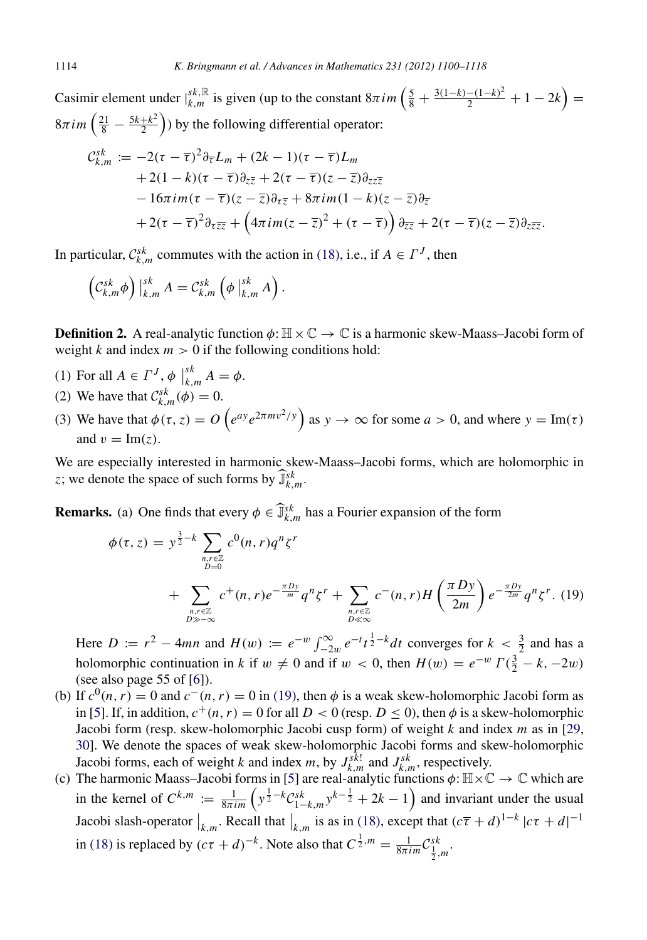Casimir element under  $\binom{s}{k,m}$  is given (up to the constant  $8\pi i m \left( \frac{5}{8} + \frac{3(1-k)-(1-k)^2}{2} + 1 - 2k \right) =$  $8\pi$ *im*  $\left(\frac{21}{8} - \frac{5k+k^2}{2}\right)$  $\left(\frac{+k^2}{2}\right)$ ) by the following differential operator:

$$
C_{k,m}^{sk} := -2(\tau - \overline{\tau})^2 \partial_{\overline{\tau}} L_m + (2k - 1)(\tau - \overline{\tau}) L_m
$$
  
+2(1 - k)(\tau - \overline{\tau}) \partial\_{z\overline{z}} + 2(\tau - \overline{\tau})(z - \overline{z}) \partial\_{z\overline{z}}  
- 16\pi im(\tau - \overline{\tau})(z - \overline{z}) \partial\_{\tau\overline{z}} + 8\pi im(1 - k)(z - \overline{z}) \partial\_{\overline{z}}  
+ 2(\tau - \overline{\tau})^2 \partial\_{\tau\overline{z}} + (4\pi im(z - \overline{z})^2 + (\tau - \overline{\tau})) \partial\_{\overline{z}\overline{z}} + 2(\tau - \overline{\tau})(z - \overline{z}) \partial\_{z\overline{z}\overline{z}}.

In particular,  $C_{k,m}^{sk}$  commutes with the action in [\(18\),](#page-13-1) i.e., if  $A \in \Gamma^J$ , then

<span id="page-14-0"></span>
$$
\left(\mathcal{C}_{k,m}^{sk}\phi\right)|_{k,m}^{sk} A = \mathcal{C}_{k,m}^{sk}\left(\phi\right)|_{k,m}^{sk} A\right).
$$

**Definition 2.** A real-analytic function  $\phi: \mathbb{H} \times \mathbb{C} \to \mathbb{C}$  is a harmonic skew-Maass–Jacobi form of weight *k* and index  $m > 0$  if the following conditions hold:

- (1) For all  $A \in \Gamma^J$ ,  $\phi$ *sk*  $\int_{k,m}^{s_K} A = \phi.$
- (2) We have that  $C_{k,m}^{sk}(\phi) = 0$ . *k*,*m*
- (3) We have that  $\phi(\tau, z) = O\left(e^{ay}e^{2\pi m v^2/y}\right)$  as  $y \to \infty$  for some  $a > 0$ , and where  $y = \text{Im}(\tau)$ and  $v = \text{Im}(z)$ .

We are especially interested in harmonic skew-Maass–Jacobi forms, which are holomorphic in z; we denote the space of such forms by  $\widehat{J}_{k,m}^{s,k}$ .

**Remarks.** (a) One finds that every  $\phi \in \widehat{\mathbb{J}}_{k,m}^{sk}$  has a Fourier expansion of the form

<span id="page-14-1"></span>
$$
\phi(\tau, z) = y^{\frac{3}{2} - k} \sum_{\substack{n, r \in \mathbb{Z} \\ D = 0}} c^0(n, r) q^n \zeta^r
$$
  
+ 
$$
\sum_{\substack{n, r \in \mathbb{Z} \\ D \gg -\infty}} c^+(n, r) e^{-\frac{\pi D y}{m}} q^n \zeta^r + \sum_{\substack{n, r \in \mathbb{Z} \\ D \ll \infty}} c^-(n, r) H\left(\frac{\pi D y}{2m}\right) e^{-\frac{\pi D y}{2m}} q^n \zeta^r. (19)
$$

Here  $D := r^2 - 4mn$  and  $H(w) := e^{-w} \int_{-2w}^{\infty} e^{-t} t^{\frac{1}{2} - k} dt$  converges for  $k < \frac{3}{2}$  and has a holomorphic continuation in *k* if  $w \neq 0$  and if  $w < 0$ , then  $H(w) = e^{-w} \Gamma(\frac{3}{2} - k, -2w)$ (see also page 55 of [\[6\]](#page-17-7)).

- (b) If  $c^0(n, r) = 0$  and  $c^-(n, r) = 0$  in [\(19\),](#page-14-1) then  $\phi$  is a weak skew-holomorphic Jacobi form as in [\[5\]](#page-17-3). If, in addition,  $c^+(n, r) = 0$  for all  $D < 0$  (resp.  $D \le 0$ ), then  $\phi$  is a skew-holomorphic Jacobi form (resp. skew-holomorphic Jacobi cusp form) of weight *k* and index *m* as in [\[29,](#page-18-2) [30\]](#page-18-3). We denote the spaces of weak skew-holomorphic Jacobi forms and skew-holomorphic Jacobi forms, each of weight *k* and index *m*, by  $J_{k,m}^{\tilde{s}\tilde{k}!}$  and  $J_{k,m}^{sk}$ , respectively.
- (c) The harmonic Maass–Jacobi forms in [\[5\]](#page-17-3) are real-analytic functions  $\phi: \mathbb{H} \times \mathbb{C} \to \mathbb{C}$  which are in the kernel of  $C^{k,m} := \frac{1}{8\pi im} \left( y^{\frac{1}{2} - k} C^{sk}_{1-k,m} y^{k-\frac{1}{2}} + 2k - 1 \right)$  and invariant under the usual Jacobi slash-operator  $\big|_{k,m}$ . Recall that  $\big|_{k,m}$  is as in [\(18\),](#page-13-1) except that  $(c\overline{\tau} + d)^{1-k} |c\tau + d|^{-1}$ in [\(18\)](#page-13-1) is replaced by  $(c\tau + d)^{-k}$ . Note also that  $C^{\frac{1}{2},m} = \frac{1}{8\pi im} C^{\frac{sk}{2}}_{\frac{1}{2},m}$ .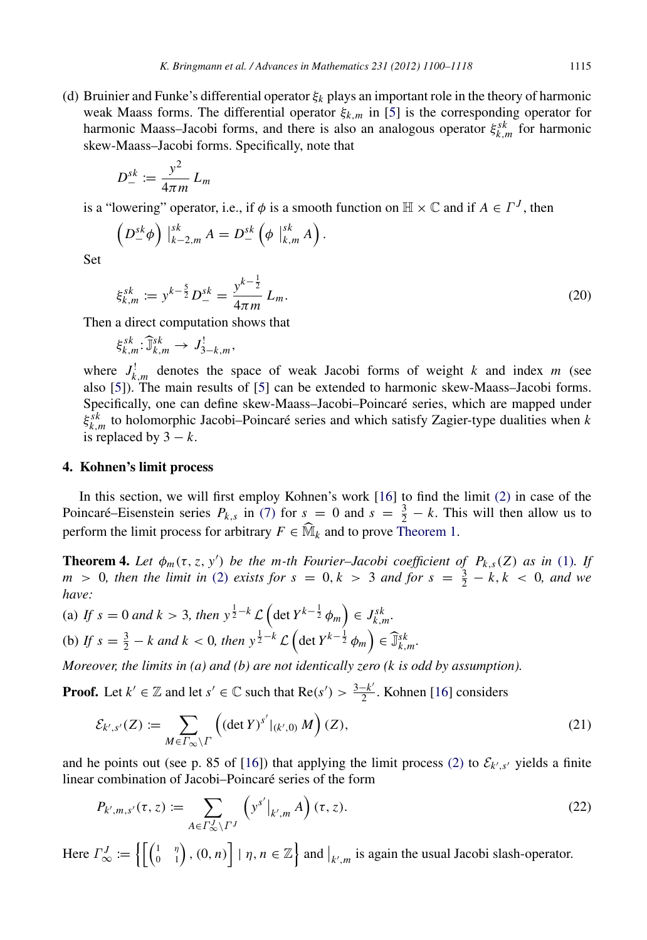(d) Bruinier and Funke's differential operator ξ*k* plays an important role in the theory of harmonic weak Maass forms. The differential operator ξ*k*,*<sup>m</sup>* in [\[5\]](#page-17-3) is the corresponding operator for harmonic Maass–Jacobi forms, and there is also an analogous operator  $\xi_{k,m}^{s,k}$  for harmonic skew-Maass–Jacobi forms. Specifically, note that

$$
D_{-}^{sk} := \frac{y^2}{4\pi m} L_m
$$

is a "lowering" operator, i.e., if  $\phi$  is a smooth function on  $\mathbb{H} \times \mathbb{C}$  and if  $A \in \Gamma^J$ , then

$$
\left(D_{-}^{sk}\phi\right)\big|_{k-2,m}^{sk}A=D_{-}^{sk}\left(\phi\big|_{k,m}^{sk}A\right).
$$

Set

$$
\xi_{k,m}^{sk} := y^{k-\frac{5}{2}} D_{-}^{sk} = \frac{y^{k-\frac{1}{2}}}{4\pi m} L_m.
$$
\n(20)

Then a direct computation shows that

$$
\xi_{k,m}^{sk}:\widehat{\mathbb{J}}_{k,m}^{sk}\to J_{3-k,m}^{!},
$$

where  $J_{k,m}^!$  denotes the space of weak Jacobi forms of weight *k* and index *m* (see also [\[5\]](#page-17-3)). The main results of [\[5\]](#page-17-3) can be extended to harmonic skew-Maass–Jacobi forms. Specifically, one can define skew-Maass-Jacobi–Poincaré series, which are mapped under  $\xi_{k,m}^{s,k}$  to holomorphic Jacobi–Poincaré series and which satisfy Zagier-type dualities when k is replaced by  $3 - k$ .

### <span id="page-15-0"></span>4. Kohnen's limit process

In this section, we will first employ Kohnen's work [\[16\]](#page-18-10) to find the limit [\(2\)](#page-1-1) in case of the Poincaré–Eisenstein series  $P_{k,s}$  in [\(7\)](#page-4-2) for  $s = 0$  and  $s = \frac{3}{2} - k$ . This will then allow us to perform the limit process for arbitrary  $F \in \widehat{\mathbb{M}}_k$  and to prove [Theorem 1.](#page-2-1)

<span id="page-15-1"></span>**Theorem 4.** Let  $\phi_m(\tau, z, y')$  be the m-th Fourier–Jacobi coefficient of  $P_{k,s}(Z)$  as in [\(1\)](#page-1-0). If *m* > 0, then the limit in [\(2\)](#page-1-1) exists for  $s = 0, k > 3$  and for  $s = \frac{3}{2} - k, k < 0$ , and we *have:*

(a) If 
$$
s = 0
$$
 and  $k > 3$ , then  $y^{\frac{1}{2} - k} \mathcal{L} \left( \det Y^{k - \frac{1}{2}} \phi_m \right) \in J_{k,m}^{sk}$ .  
\n(b) If  $s = \frac{3}{2} - k$  and  $k < 0$ , then  $y^{\frac{1}{2} - k} \mathcal{L} \left( \det Y^{k - \frac{1}{2}} \phi_m \right) \in \widehat{\mathbb{J}}_{k,m}^{sk}$ 

*Moreover, the limits in (a) and (b) are not identically zero (k is odd by assumption).*

**Proof.** Let  $k' \in \mathbb{Z}$  and let  $s' \in \mathbb{C}$  such that  $Re(s') > \frac{3-k'}{2}$  $\frac{-k}{2}$ . Kohnen [\[16\]](#page-18-10) considers

$$
\mathcal{E}_{k',s'}(Z) := \sum_{M \in \Gamma_{\infty} \backslash \Gamma} \left( (\det Y)^{s'}|_{(k',0)} M \right)(Z),\tag{21}
$$

*.*

and he points out (see p. 85 of [\[16\]](#page-18-10)) that applying the limit process [\(2\)](#page-1-1) to  $\mathcal{E}_{k',s'}$  yields a finite linear combination of Jacobi–Poincaré series of the form

$$
P_{k',m,s'}(\tau,z) := \sum_{A \in \Gamma_{\infty}^J \backslash \Gamma^J} \left( y^{s'} \big|_{k',m} A \right) (\tau,z). \tag{22}
$$

Here  $\Gamma_{\infty}^{J} := \left\{ \begin{bmatrix} 1 & \eta \\ 0 & 1 \end{bmatrix}, (0, n) \right\} \mid \eta, n \in \mathbb{Z} \right\}$  and  $\big|_{k', m}$  is again the usual Jacobi slash-operator.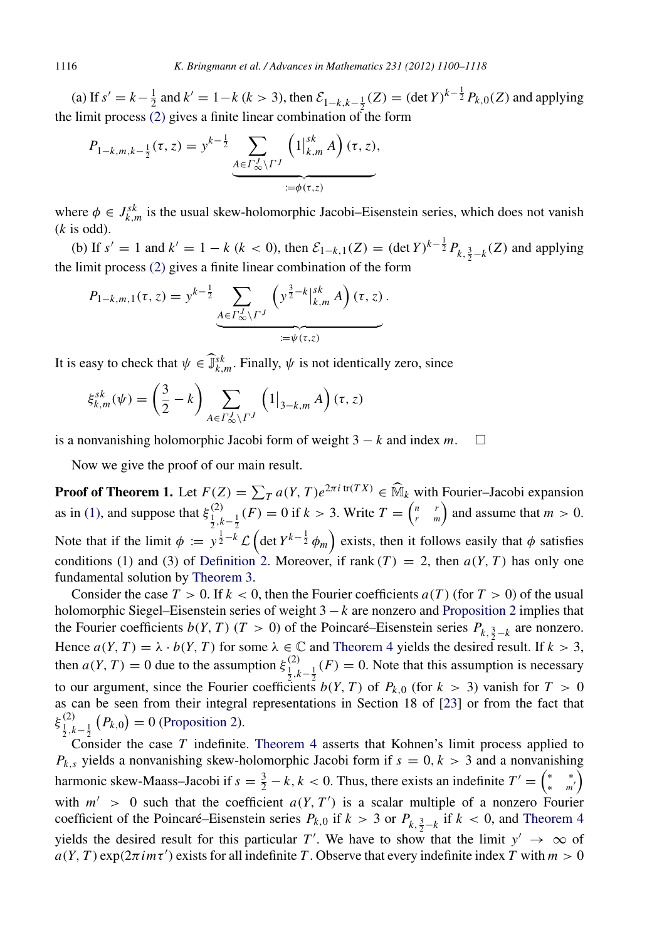(a) If  $s' = k - \frac{1}{2}$  and  $k' = 1 - k$  ( $k > 3$ ), then  $\mathcal{E}_{1-k,k-\frac{1}{2}}(Z) = (\det Y)^{k-\frac{1}{2}} P_{k,0}(Z)$  and applying the limit process [\(2\)](#page-1-1) gives a finite linear combination of the form

$$
P_{1-k,m,k-\frac{1}{2}}(\tau,z) = y^{k-\frac{1}{2}} \underbrace{\sum_{A \in \Gamma_{\infty}^J \backslash \Gamma^J} \left(1 \big|_{k,m}^{sk} A\right)(\tau,z)}_{:=\phi(\tau,z)},
$$

where  $\phi \in J_{k,m}^{sk}$  is the usual skew-holomorphic Jacobi–Eisenstein series, which does not vanish (*k* is odd).

(b) If  $s' = 1$  and  $k' = 1 - k$  ( $k < 0$ ), then  $\mathcal{E}_{1-k,1}(Z) = (\det Y)^{k-\frac{1}{2}} P_{k,\frac{3}{2}-k}(Z)$  and applying the limit process [\(2\)](#page-1-1) gives a finite linear combination of the form

$$
P_{1-k,m,1}(\tau,z) = y^{k-\frac{1}{2}} \underbrace{\sum_{A \in \Gamma_{\infty}^{J} \backslash \Gamma^{J}} \left(y^{\frac{3}{2}-k} \Big|_{k,m}^{sk} A\right)(\tau,z)}_{:=\psi(\tau,z)}.
$$

It is easy to check that  $\psi \in \widehat{\mathbb{J}}_{k,m}^{s,k}$ . Finally,  $\psi$  is not identically zero, since

$$
\xi_{k,m}^{sk}(\psi) = \left(\frac{3}{2} - k\right) \sum_{A \in \Gamma_{\infty}^J \backslash \Gamma^J} \left(1 \big|_{3-k,m} A\right) (\tau, z)
$$

is a nonvanishing holomorphic Jacobi form of weight  $3 - k$  and index *m*. □

Now we give the proof of our main result.

**Proof of Theorem 1.** Let  $F(Z) = \sum_{T} a(Y, T) e^{2\pi i \text{ tr}(TX)} \in \widehat{\mathbb{M}}_k$  with Fourier–Jacobi expansion as in [\(1\),](#page-1-0) and suppose that  $\xi_{\frac{1}{2},k-\frac{1}{2}}^{(2)}(F) = 0$  if  $k > 3$ . Write  $T = \begin{pmatrix} n & r \\ r & m \end{pmatrix}$  and assume that  $m > 0$ . Note that if the limit  $\phi := y^{\frac{1}{2} - k} \mathcal{L} \left( \det Y^{k - \frac{1}{2}} \phi_m \right)$  exists, then it follows easily that  $\phi$  satisfies conditions (1) and (3) of [Definition 2.](#page-14-0) Moreover, if rank  $(T) = 2$ , then  $a(Y, T)$  has only one fundamental solution by [Theorem 3.](#page-7-0)

Consider the case  $T > 0$ . If  $k < 0$ , then the Fourier coefficients  $a(T)$  (for  $T > 0$ ) of the usual holomorphic Siegel–Eisenstein series of weight 3 − *k* are nonzero and [Proposition 2](#page-5-0) implies that the Fourier coefficients *b*(*Y*, *T*) (*T* > 0) of the Poincaré–Eisenstein series  $P_{k, \frac{3}{2} - k}$  are nonzero. Hence  $a(Y, T) = \lambda \cdot b(Y, T)$  for some  $\lambda \in \mathbb{C}$  and [Theorem 4](#page-15-1) yields the desired result. If  $k > 3$ , then  $a(Y, T) = 0$  due to the assumption  $\xi_{\frac{1}{2}, k-\frac{1}{2}}^{(2)}(F) = 0$ . Note that this assumption is necessary to our argument, since the Fourier coefficients  $b(Y, T)$  of  $P_{k,0}$  (for  $k > 3$ ) vanish for  $T > 0$ as can be seen from their integral representations in Section 18 of [\[23\]](#page-18-12) or from the fact that  $\xi_{\frac{1}{2},k-\frac{1}{2}}^{(2)}$  $(P_{k,0}) = 0$  [\(Proposition 2\)](#page-5-0).

Consider the case *T* indefinite. [Theorem 4](#page-15-1) asserts that Kohnen's limit process applied to  $P_{k,s}$  yields a nonvanishing skew-holomorphic Jacobi form if  $s = 0, k > 3$  and a nonvanishing harmonic skew-Maass–Jacobi if  $s = \frac{3}{2} - k$ ,  $k < 0$ . Thus, there exists an indefinite  $T' = \begin{pmatrix} * & * \\ * & m' \end{pmatrix}$ ∗ *m* ′ with  $m' > 0$  such that the coefficient  $a(Y, T')$  is a scalar multiple of a nonzero Fourier coefficient of the Poincaré–Eisenstein series  $P_{k,0}$  if  $k > 3$  or  $P_{k,\frac{3}{2}-k}$  if  $k < 0$ , and [Theorem 4](#page-15-1) yields the desired result for this particular *T'*. We have to show that the limit  $y' \rightarrow \infty$  of  $a(Y, T) \exp(2\pi i m\tau')$  exists for all indefinite *T*. Observe that every indefinite index *T* with  $m > 0$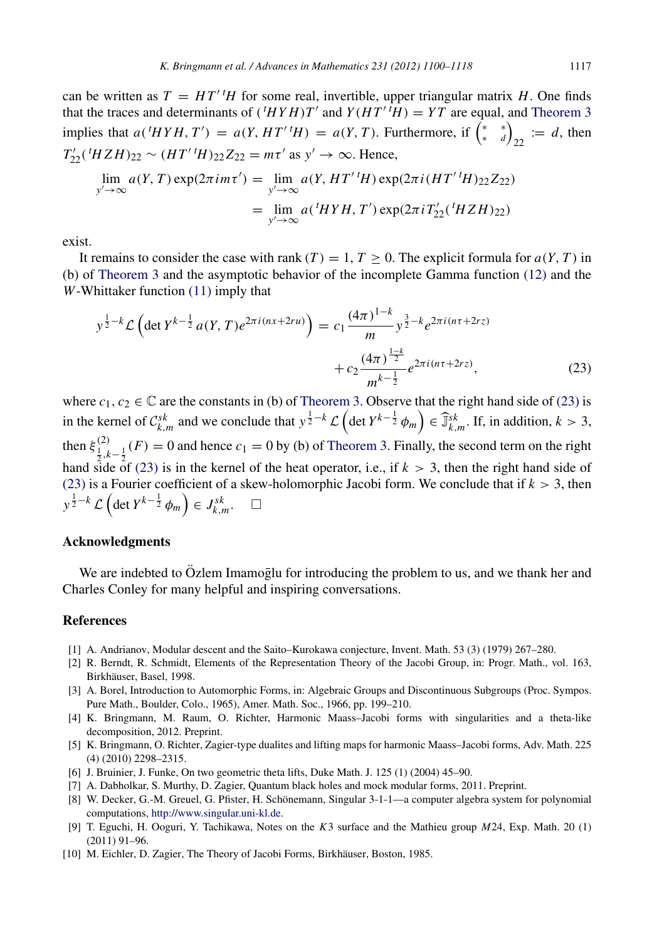can be written as  $T = HT'{}^tH$  for some real, invertible, upper triangular matrix *H*. One finds that the traces and determinants of  $({}^{t}HYH)T'$  and  $Y(HT'H) = YT$  are equal, and [Theorem 3](#page-7-0) implies that  $a({}^{t}HYH, T') = a(Y, HT' {}^{t}H) = a(Y, T)$ . Furthermore, if  $\begin{pmatrix} * & * \\ * & d \end{pmatrix}$  $_{22}$  := *d*, then  $T'_{22}$ <sup>(*t*</sup>*HZH*)<sub>22</sub> ~ (*HT'<sup>t</sup>H*)<sub>22</sub>*Z*<sub>22</sub> =  $m\tau'$  as  $y' \to \infty$ . Hence,

$$
\lim_{y' \to \infty} a(Y, T) \exp(2\pi i m \tau') = \lim_{y' \to \infty} a(Y, HT'^{t}H) \exp(2\pi i (HT'^{t}H)_{22}Z_{22})
$$

$$
= \lim_{y' \to \infty} a({}^{t}HYH, T') \exp(2\pi i T'_{22}({}^{t}HZH)_{22})
$$

exist.

It remains to consider the case with rank  $(T) = 1, T > 0$ . The explicit formula for  $a(Y, T)$  in (b) of [Theorem 3](#page-7-0) and the asymptotic behavior of the incomplete Gamma function [\(12\)](#page-7-2) and the *W*-Whittaker function [\(11\)](#page-7-3) imply that

<span id="page-17-10"></span>
$$
y^{\frac{1}{2}-k} \mathcal{L}\left(\det Y^{k-\frac{1}{2}} a(Y,T) e^{2\pi i (nx+2ru)}\right) = c_1 \frac{(4\pi)^{1-k}}{m} y^{\frac{3}{2}-k} e^{2\pi i (n\tau+2rz)} + c_2 \frac{(4\pi)^{\frac{1-k}{2}}}{m^{k-\frac{1}{2}}} e^{2\pi i (n\tau+2rz)},
$$
(23)

where  $c_1, c_2 \in \mathbb{C}$  are the constants in (b) of [Theorem 3.](#page-7-0) Observe that the right hand side of [\(23\)](#page-17-10) is in the kernel of  $C_{k,m}^{sk}$  and we conclude that  $y^{\frac{1}{2}-k} \mathcal{L}\left(\det Y^{k-\frac{1}{2}} \phi_m\right) \in \widehat{\mathbb{J}}_{k,m}^{sk}$ . If, in addition,  $k > 3$ , then  $\xi_{\frac{1}{2},k-\frac{1}{2}}^{(2)}(F) = 0$  and hence  $c_1 = 0$  by (b) of [Theorem 3.](#page-7-0) Finally, the second term on the right hand side of [\(23\)](#page-17-10) is in the kernel of the heat operator, i.e., if  $k > 3$ , then the right hand side of [\(23\)](#page-17-10) is a Fourier coefficient of a skew-holomorphic Jacobi form. We conclude that if  $k > 3$ , then  $y^{\frac{1}{2}-k} \mathcal{L} \left( \det Y^{k-\frac{1}{2}} \phi_m \right) \in J_{k,m}^{sk}.$   $\Box$ 

#### Acknowledgments

We are indebted to  $Oz$ lem Imamoglu for introducing the problem to us, and we thank her and Charles Conley for many helpful and inspiring conversations.

## References

- <span id="page-17-0"></span>[1] A. Andrianov, Modular descent and the Saito–Kurokawa conjecture, Invent. Math. 53 (3) (1979) 267–280.
- <span id="page-17-2"></span>[2] R. Berndt, R. Schmidt, Elements of the Representation Theory of the Jacobi Group, in: Progr. Math., vol. 163, Birkhäuser, Basel, 1998.
- <span id="page-17-9"></span>[3] A. Borel, Introduction to Automorphic Forms, in: Algebraic Groups and Discontinuous Subgroups (Proc. Sympos. Pure Math., Boulder, Colo., 1965), Amer. Math. Soc., 1966, pp. 199–210.
- <span id="page-17-4"></span>[4] K. Bringmann, M. Raum, O. Richter, Harmonic Maass–Jacobi forms with singularities and a theta-like decomposition, 2012. Preprint.
- <span id="page-17-3"></span>[5] K. Bringmann, O. Richter, Zagier-type dualites and lifting maps for harmonic Maass–Jacobi forms, Adv. Math. 225 (4) (2010) 2298–2315.
- <span id="page-17-7"></span>[6] J. Bruinier, J. Funke, On two geometric theta lifts, Duke Math. J. 125 (1) (2004) 45–90.
- <span id="page-17-6"></span>[7] A. Dabholkar, S. Murthy, D. Zagier, Quantum black holes and mock modular forms, 2011. Preprint.
- <span id="page-17-8"></span>[8] W. Decker, G.-M. Greuel, G. Pfister, H. Schönemann, Singular 3-1-1—a computer algebra system for polynomial computations, [http://www.singular.uni-kl.de.](http://www.singular.uni-kl.de)
- <span id="page-17-5"></span>[9] T. Eguchi, H. Ooguri, Y. Tachikawa, Notes on the *K*3 surface and the Mathieu group *M*24, Exp. Math. 20 (1) (2011) 91–96.
- <span id="page-17-1"></span>[10] M. Eichler, D. Zagier, The Theory of Jacobi Forms, Birkhäuser, Boston, 1985.